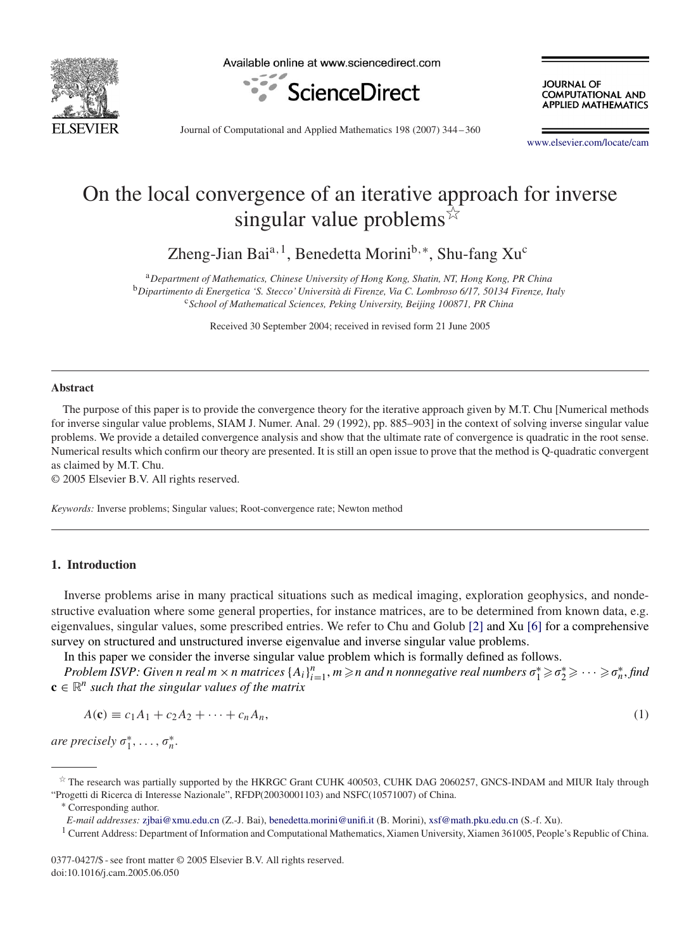

Available online at www.sciencedirect.com



**JOURNAL OF** COMPUTATIONAL AND **APPLIED MATHEMATICS** 

Journal of Computational and Applied Mathematics 198 (2007) 344 – 360

[www.elsevier.com/locate/cam](http://www.elsevier.com/locate/cam)

# On the local convergence of an iterative approach for inverse singular value problems  $\mathbb{X}$

Zheng-Jian Baia*,*1, Benedetta Morinib*,*<sup>∗</sup>, Shu-fang Xuc

<sup>a</sup>*Department of Mathematics, Chinese University of Hong Kong, Shatin, NT, Hong Kong, PR China* <sup>b</sup>*Dipartimento di Energetica 'S. Stecco' Università di Firenze, Via C. Lombroso 6/17, 50134 Firenze, Italy* <sup>c</sup>*School of Mathematical Sciences, Peking University, Beijing 100871, PR China*

Received 30 September 2004; received in revised form 21 June 2005

#### **Abstract**

The purpose of this paper is to provide the convergence theory for the iterative approach given by M.T. Chu [Numerical methods for inverse singular value problems, SIAM J. Numer. Anal. 29 (1992), pp. 885–903] in the context of solving inverse singular value problems. We provide a detailed convergence analysis and show that the ultimate rate of convergence is quadratic in the root sense. Numerical results which confirm our theory are presented. It is still an open issue to prove that the method is Q-quadratic convergent as claimed by M.T. Chu.

© 2005 Elsevier B.V. All rights reserved.

*Keywords:* Inverse problems; Singular values; Root-convergence rate; Newton method

# **1. Introduction**

Inverse problems arise in many practical situations such as medical imaging, exploration geophysics, and nondestructive evaluation where some general properties, for instance matrices, are to be determined from known data, e.g. eigenvalues, singular values, some prescribed entries. We refer to Chu and Golub [\[2\]](#page-16-0) and Xu [\[6\]](#page-16-0) for a comprehensive survey on structured and unstructured inverse eigenvalue and inverse singular value problems.

In this paper we consider the inverse singular value problem which is formally defined as follows.

*Problem ISVP:* Given n real  $m \times n$  matrices  ${A_i}_{i=1}^n$ ,  $m \ge n$  and n nonnegative real numbers  $\sigma_1^* \ge \sigma_2^* \ge \cdots \ge \sigma_n^*$ , find  $\mathbf{c} \in \mathbb{R}^n$  *such that the singular values of the matrix* 

$$
A(\mathbf{c}) \equiv c_1 A_1 + c_2 A_2 + \dots + c_n A_n,\tag{1}
$$

*are precisely*  $\sigma_1^*, \ldots, \sigma_n^*.$ 

0377-0427/\$ - see front matter © 2005 Elsevier B.V. All rights reserved. doi:10.1016/j.cam.2005.06.050

 $*$  The research was partially supported by the HKRGC Grant CUHK 400503, CUHK DAG 2060257, GNCS-INDAM and MIUR Italy through "Progetti di Ricerca di Interesse Nazionale", RFDP(20030001103) and NSFC(10571007) of China. <sup>∗</sup> Corresponding author.

*E-mail addresses:* [zjbai@xmu.edu.cn](mailto:zjbai@xmu.edu.cn) (Z.-J. Bai), [benedetta.morini@unifi.it](mailto:benedetta.morini@unifi.it) (B. Morini), [xsf@math.pku.edu.cn](mailto:xsf@math.pku.edu.cn) (S.-f. Xu).

<sup>&</sup>lt;sup>1</sup> Current Address: Department of Information and Computational Mathematics, Xiamen University, Xiamen 361005, People's Republic of China.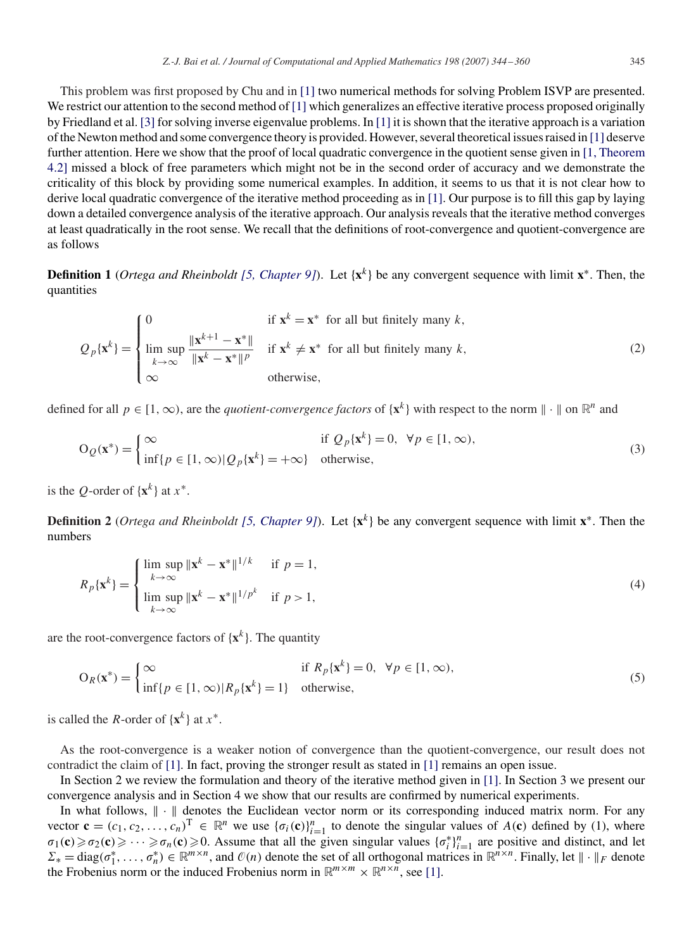This problem was first proposed by Chu and in [\[1\]](#page-16-0) two numerical methods for solving Problem ISVP are presented. We restrict our attention to the second method of [\[1\]](#page-16-0) which generalizes an effective iterative process proposed originally by Friedland et al. [\[3\]](#page-16-0) for solving inverse eigenvalue problems. In [\[1\]](#page-16-0) it is shown that the iterative approach is a variation of the Newton method and some convergence theory is provided. However, several theoretical issues raised in [\[1\]](#page-16-0) deserve further attention. Here we show that the proof of local quadratic convergence in the quotient sense given in [1, Theorem 4.2] [missed](#page-16-0) [a](#page-16-0) [block](#page-16-0) [of](#page-16-0) [free](#page-16-0) [parameters](#page-16-0) [which](#page-16-0) [might](#page-16-0) [not](#page-16-0) [be](#page-16-0) [in](#page-16-0) [the](#page-16-0) [second](#page-16-0) [order](#page-16-0) [of](#page-16-0) [accuracy](#page-16-0) [and](#page-16-0) [we](#page-16-0) [dem](#page-16-0)onstrate the criticality of this block by providing some numerical examples. In addition, it seems to us that it is not clear how to derive local quadratic convergence of the iterative method proceeding as in [\[1\].](#page-16-0) Our purpose is to fill this gap by laying down a detailed convergence analysis of the iterative approach. Our analysis reveals that the iterative method converges at least quadratically in the root sense. We recall that the definitions of root-convergence and quotient-convergence are as follows

**Definition 1** (*Ortega and Rheinboldt* [5, *Chapter 9]*). Let  $\{x^k\}$  be any convergent sequence with limit  $x^*$ . Then, the quantities

$$
Q_{p}\{\mathbf{x}^{k}\} = \begin{cases} 0 & \text{if } \mathbf{x}^{k} = \mathbf{x}^{*} \text{ for all but finitely many } k, \\ \lim_{k \to \infty} \sup \frac{\|\mathbf{x}^{k+1} - \mathbf{x}^{*}\|}{\|\mathbf{x}^{k} - \mathbf{x}^{*}\|^{p}} & \text{if } \mathbf{x}^{k} \neq \mathbf{x}^{*} \text{ for all but finitely many } k, \\ \infty & \text{otherwise,} \end{cases}
$$
(2)

defined for all  $p \in [1, \infty)$ , are the *quotient-convergence factors* of  $\{x^k\}$  with respect to the norm  $\|\cdot\|$  on  $\mathbb{R}^n$  and

$$
O_Q(\mathbf{x}^*) = \begin{cases} \infty & \text{if } Q_p\{\mathbf{x}^k\} = 0, \ \forall p \in [1, \infty), \\ \inf\{p \in [1, \infty) | Q_p\{\mathbf{x}^k\} = +\infty\} & \text{otherwise,} \end{cases}
$$
(3)

is the *Q*-order of  $\{x^k\}$  at  $x^*$ .

**Definition 2** (*Ortega and Rheinboldt [\[5, Chapter 9\]](#page-16-0)*)*.* Let {**x***k*} be any convergent sequence with limit **x**∗. Then the numbers

$$
R_p\{\mathbf{x}^k\} = \begin{cases} \n\limsup_{k \to \infty} \|\mathbf{x}^k - \mathbf{x}^*\|^{1/k} & \text{if } p = 1, \\ \n\limsup_{k \to \infty} \|\mathbf{x}^k - \mathbf{x}^*\|^{1/p^k} & \text{if } p > 1, \n\end{cases} \tag{4}
$$

are the root-convergence factors of  ${x<sup>k</sup>}$ . The quantity

$$
O_R(\mathbf{x}^*) = \begin{cases} \infty & \text{if } R_p\{\mathbf{x}^k\} = 0, \ \forall p \in [1, \infty), \\ \inf\{p \in [1, \infty) | R_p\{\mathbf{x}^k\} = 1\} & \text{otherwise,} \end{cases}
$$
(5)

is called the *R*-order of  $\{x^k\}$  at  $x^*$ .

As the root-convergence is a weaker notion of convergence than the quotient-convergence, our result does not contradict the claim of [\[1\].](#page-16-0) In fact, proving the stronger result as stated in [\[1\]](#page-16-0) remains an open issue.

In Section 2 we review the formulation and theory of the iterative method given in [\[1\].](#page-16-0) In Section 3 we present our convergence analysis and in Section 4 we show that our results are confirmed by numerical experiments.

In what follows,  $\|\cdot\|$  denotes the Euclidean vector norm or its corresponding induced matrix norm. For any vector  $\mathbf{c} = (c_1, c_2, \ldots, c_n)^\text{T} \in \mathbb{R}^n$  we use  $\{\sigma_i(\mathbf{c})\}_{i=1}^n$  to denote the singular values of  $A(\mathbf{c})$  defined by (1), where  $\sigma_1(\mathbf{c}) \geq \sigma_2(\mathbf{c}) \geq \cdots \geq \sigma_n(\mathbf{c}) \geq 0$ . Assume that all the given singular values  $\{\sigma_i^*\}_{i=1}^n$  are positive and distinct, and let  $\Sigma_* = \text{diag}(\sigma_1^*, \ldots, \sigma_n^*) \in \mathbb{R}^{m \times n}$ , and  $\mathcal{O}(n)$  denote the set of all orthogonal matrices in  $\mathbb{R}^{n \times n}$ . Finally, let  $\|\cdot\|_F$  denote the Frobenius norm or the induced Frobenius norm in  $\mathbb{R}^{m \times m} \times \mathbb{R}^{n \times n}$ , see [\[1\].](#page-16-0)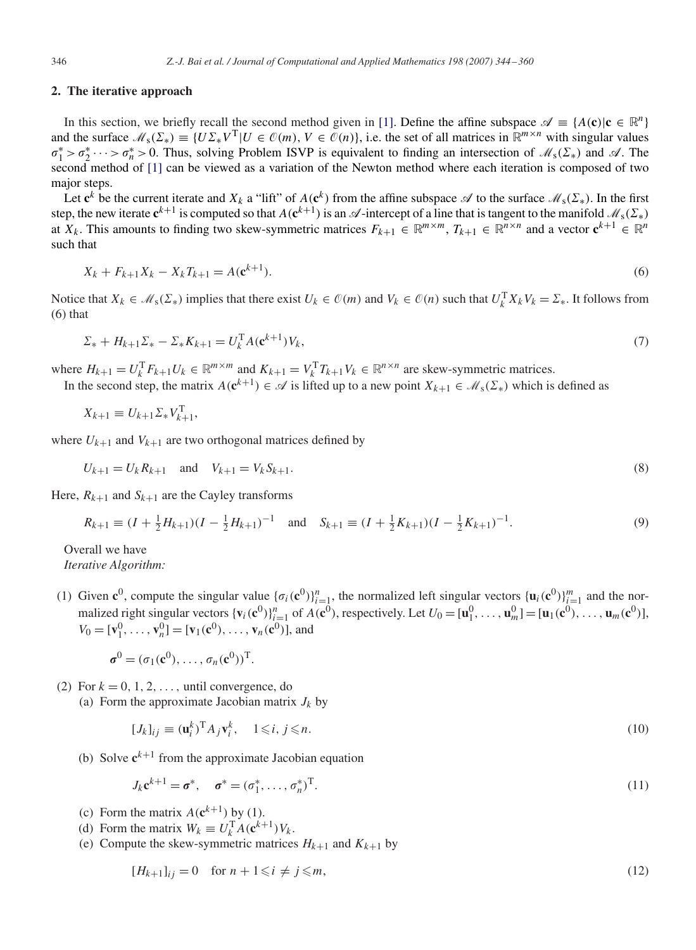### **2. The iterative approach**

In this section, we briefly recall the second method given in [\[1\].](#page-16-0) Define the affine subspace  $\mathscr{A} \equiv \{A(\mathbf{c}) | \mathbf{c} \in \mathbb{R}^n\}$ and the surface  $\mathcal{M}_s(\Sigma_*) = \{ U \Sigma_* V^T | U \in \mathcal{O}(m), V \in \mathcal{O}(n) \}$ , i.e. the set of all matrices in  $\mathbb{R}^{m \times n}$  with singular values  $\sigma_1^* > \sigma_2^* \cdots > \sigma_n^* > 0$ . Thus, solving Problem ISVP is equivalent to finding an intersection of  $\mathcal{M}_s(\Sigma_*)$  and  $\mathcal{A}$ . The second method of [\[1\]](#page-16-0) can be viewed as a variation of the Newton method where each iteration is composed of two major steps.

Let  $c^k$  be the current iterate and  $X_k$  a "lift" of  $A(c^k)$  from the affine subspace  $\mathscr A$  to the surface  $\mathscr M_s(\Sigma_*)$ . In the first step, the new iterate  $c^{k+1}$  is computed so that  $A(c^{k+1})$  is an  $\mathscr A$ -intercept of a line that is tangent to the manifold  $\mathscr M_s(\Sigma_*)$ at  $X_k$ . This amounts to finding two skew-symmetric matrices  $F_{k+1} \in \mathbb{R}^{m \times m}$ ,  $T_{k+1} \in \mathbb{R}^{n \times n}$  and a vector  $\mathbf{c}^{k+1} \in \mathbb{R}^n$ such that

$$
X_k + F_{k+1}X_k - X_kT_{k+1} = A(e^{k+1}).
$$
\n(6)

Notice that  $X_k \in \mathcal{M}_s(\Sigma_*)$  implies that there exist  $U_k \in \mathcal{O}(m)$  and  $V_k \in \mathcal{O}(n)$  such that  $U_k^T X_k V_k = \Sigma_*$ . It follows from (6) that

$$
\Sigma_* + H_{k+1} \Sigma_* - \Sigma_* K_{k+1} = U_k^{\mathrm{T}} A(\mathbf{c}^{k+1}) V_k,
$$
\n(7)

where  $H_{k+1} = U_k^{\mathrm{T}} F_{k+1} U_k \in \mathbb{R}^{m \times m}$  and  $K_{k+1} = V_k^{\mathrm{T}} T_{k+1} V_k \in \mathbb{R}^{n \times n}$  are skew-symmetric matrices.

In the second step, the matrix  $A(\mathbf{c}^{k+1}) \in \mathcal{A}$  is lifted up to a new point  $X_{k+1} \in \mathcal{M}_{s}(\Sigma_{*})$  which is defined as

$$
X_{k+1} \equiv U_{k+1} \Sigma_* V_{k+1}^{\mathrm{T}},
$$

where  $U_{k+1}$  and  $V_{k+1}$  are two orthogonal matrices defined by

$$
U_{k+1} = U_k R_{k+1} \quad \text{and} \quad V_{k+1} = V_k S_{k+1}.
$$
\n(8)

Here,  $R_{k+1}$  and  $S_{k+1}$  are the Cayley transforms

$$
R_{k+1} \equiv (I + \frac{1}{2}H_{k+1})(I - \frac{1}{2}H_{k+1})^{-1} \quad \text{and} \quad S_{k+1} \equiv (I + \frac{1}{2}K_{k+1})(I - \frac{1}{2}K_{k+1})^{-1}.
$$
 (9)

Overall we have *Iterative Algorithm:*

(1) Given  $\mathbf{c}^0$ , compute the singular value  $\{\sigma_i(\mathbf{c}^0)\}_{i=1}^n$ , the normalized left singular vectors  $\{\mathbf{u}_i(\mathbf{c}^0)\}_{i=1}^m$  and the normalized right singular vectors  $\{v_i(c^0)\}_{i=1}^n$  of  $A(c^0)$ , respectively. Let  $U_0 = [\mathbf{u}_1^0, \dots, \mathbf{u}_m^0] = [\mathbf{u}_1(c^0), \dots, \mathbf{u}_m(c^0)]$  $V_0 = [\mathbf{v}_1^0, \dots, \mathbf{v}_n^0] = [\mathbf{v}_1(\mathbf{c}^0), \dots, \mathbf{v}_n(\mathbf{c}^0)]$ , and

$$
\boldsymbol{\sigma}^0 = (\sigma_1(\mathbf{c}^0), \ldots, \sigma_n(\mathbf{c}^0))^T.
$$

- (2) For  $k = 0, 1, 2, \ldots$ , until convergence, do
	- (a) Form the approximate Jacobian matrix  $J_k$  by

$$
[J_k]_{ij} \equiv (\mathbf{u}_i^k)^{\mathrm{T}} A_j \mathbf{v}_i^k, \quad 1 \leqslant i, j \leqslant n. \tag{10}
$$

(b) Solve  $c^{k+1}$  from the approximate Jacobian equation

$$
J_k \mathbf{c}^{k+1} = \boldsymbol{\sigma}^*, \quad \boldsymbol{\sigma}^* = (\sigma_1^*, \dots, \sigma_n^*)^{\mathrm{T}}.
$$
\n
$$
(11)
$$

- (c) Form the matrix  $A(e^{k+1})$  by (1).
- (d) Form the matrix  $W_k = U_k^{\mathsf{T}} A(\mathbf{c}^{k+1}) V_k$ .
- (e) Compute the skew-symmetric matrices  $H_{k+1}$  and  $K_{k+1}$  by

$$
[H_{k+1}]_{ij} = 0 \quad \text{for } n+1 \leq i \neq j \leq m,
$$
\n
$$
(12)
$$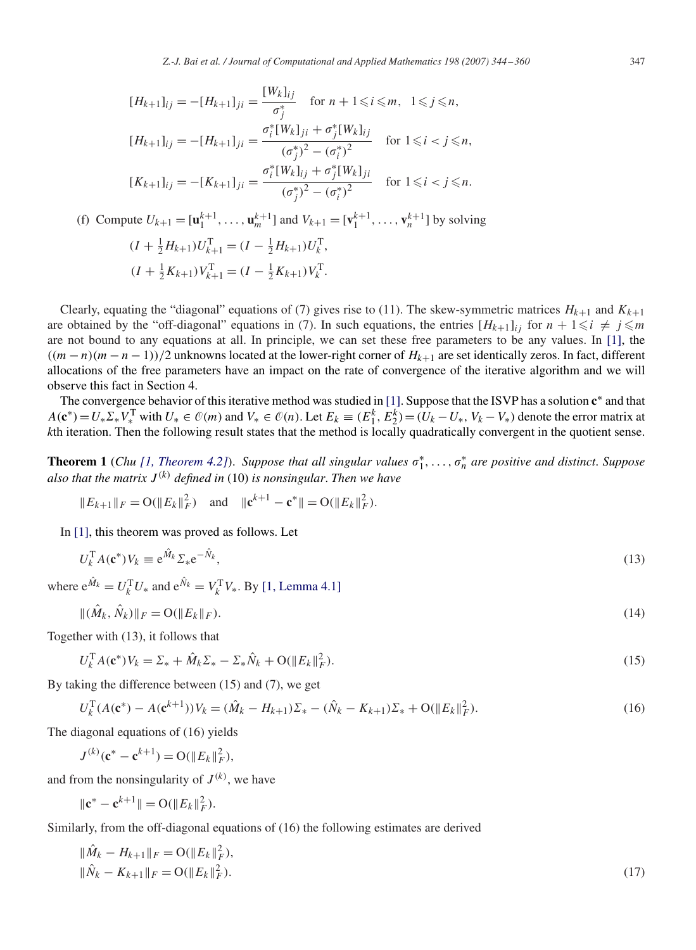$$
[H_{k+1}]_{ij} = -[H_{k+1}]_{ji} = \frac{[W_k]_{ij}}{\sigma_j^*} \quad \text{for } n+1 \le i \le m, \quad 1 \le j \le n,
$$
  

$$
[H_{k+1}]_{ij} = -[H_{k+1}]_{ji} = \frac{\sigma_i^*[W_k]_{ji} + \sigma_j^*[W_k]_{ij}}{(\sigma_j^*)^2 - (\sigma_i^*)^2} \quad \text{for } 1 \le i < j \le n,
$$
  

$$
[K_{k+1}]_{ij} = -[K_{k+1}]_{ji} = \frac{\sigma_i^*[W_k]_{ij} + \sigma_j^*[W_k]_{ji}}{(\sigma_j^*)^2 - (\sigma_i^*)^2} \quad \text{for } 1 \le i < j \le n.
$$

(f) Compute  $U_{k+1} = [\mathbf{u}_1^{k+1}, \dots, \mathbf{u}_m^{k+1}]$  and  $V_{k+1} = [\mathbf{v}_1^{k+1}, \dots, \mathbf{v}_n^{k+1}]$  by solving  $(I + \frac{1}{2}H_{k+1})U_{k+1}^{T} = (I - \frac{1}{2}H_{k+1})U_{k}^{T}$ 

$$
(I + \frac{1}{2}K_{k+1})V_{k+1}^{\mathrm{T}} = (I - \frac{1}{2}K_{k+1})V_k^{\mathrm{T}}.
$$

Clearly, equating the "diagonal" equations of (7) gives rise to (11). The skew-symmetric matrices  $H_{k+1}$  and  $K_{k+1}$ are obtained by the "off-diagonal" equations in (7). In such equations, the entries  $[H_{k+1}]_{ij}$  for  $n + 1 \leq i \neq j \leq m$ are not bound to any equations at all. In principle, we can set these free parameters to be any values. In [\[1\],](#page-16-0) the  $((m - n)(m - n - 1))/2$  unknowns located at the lower-right corner of  $H_{k+1}$  are set identically zeros. In fact, different allocations of the free parameters have an impact on the rate of convergence of the iterative algorithm and we will observe this fact in Section 4.

The convergence behavior of this iterative method was studied in [\[1\].](#page-16-0) Suppose that the ISVP has a solution **c**<sup>∗</sup> and that  $A(\mathbf{c}^*) = U_* \Sigma_* V_*^T$  with  $U_* \in \mathcal{O}(m)$  and  $V_* \in \mathcal{O}(n)$ . Let  $E_k \equiv (E_1^k, E_2^k) = (U_k - U_*, V_k - V_*)$  denote the error matrix at *kth* iteration. Then the following result states that the method is locally quadratically convergent in the quotient sense.

**Theorem 1** (*Chu* [\[1, Theorem 4.2\]](#page-16-0)). Suppose that all singular values  $\sigma_1^*, \ldots, \sigma_n^*$  are positive and distinct. Suppose *also that the matrix*  $J^{(k)}$  *defined in* (10) *is nonsingular. Then we have* 

$$
||E_{k+1}||_F = O(||E_k||_F^2)
$$
 and  $||\mathbf{c}^{k+1} - \mathbf{c}^*|| = O(||E_k||_F^2)$ .

In [\[1\],](#page-16-0) this theorem was proved as follows. Let

$$
U_k^{\mathrm{T}} A(\mathbf{c}^*) V_k \equiv \mathbf{e}^{\hat{M}_k} \Sigma_* \mathbf{e}^{-\hat{N}_k},\tag{13}
$$

where  $e^{\hat{M}_k} = U_k^{\mathrm{T}} U_*$  and  $e^{\hat{N}_k} = V_k^{\mathrm{T}} V_*$ . By [\[1, Lemma 4.1\]](#page-16-0)

$$
\|(\hat{M}_k, \hat{N}_k)\|_F = O(\|E_k\|_F). \tag{14}
$$

Together with (13), it follows that

$$
U_k^{\rm T} A(\mathbf{c}^*) V_k = \Sigma_* + \hat{M}_k \Sigma_* - \Sigma_* \hat{N}_k + \mathcal{O}(\|E_k\|_F^2). \tag{15}
$$

By taking the difference between (15) and (7), we get

$$
U_k^{\mathrm{T}}(A(\mathbf{c}^*) - A(\mathbf{c}^{k+1}))V_k = (\hat{M}_k - H_{k+1})\Sigma_* - (\hat{N}_k - K_{k+1})\Sigma_* + \mathrm{O}(\|E_k\|_F^2). \tag{16}
$$

The diagonal equations of (16) yields

$$
J^{(k)}(c^* - c^{k+1}) = O(||E_k||_F^2),
$$

and from the nonsingularity of  $J^{(k)}$ , we have

$$
\|\mathbf{c}^* - \mathbf{c}^{k+1}\| = O(\|E_k\|_F^2).
$$

Similarly, from the off-diagonal equations of (16) the following estimates are derived

$$
\|\hat{M}_k - H_{k+1}\|_F = O(\|E_k\|_F^2),
$$
  

$$
\|\hat{N}_k - K_{k+1}\|_F = O(\|E_k\|_F^2).
$$
 (17)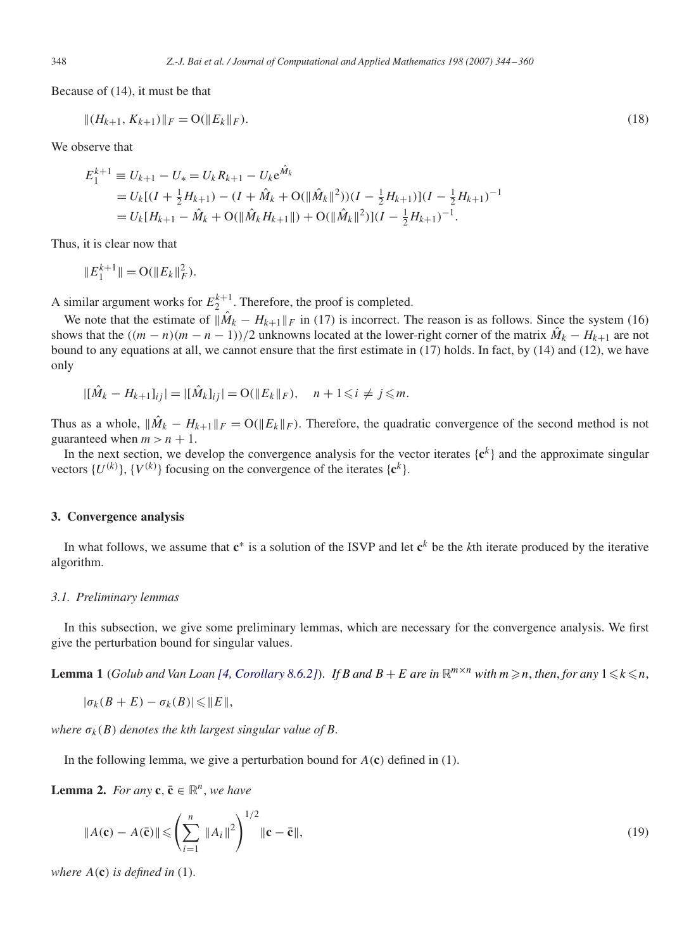Because of (14), it must be that

$$
||(H_{k+1}, K_{k+1})||_F = O(||E_k||_F). \tag{18}
$$

We observe that

$$
E_1^{k+1} \equiv U_{k+1} - U_* = U_k R_{k+1} - U_k e^{\hat{M}_k}
$$
  
=  $U_k [(I + \frac{1}{2} H_{k+1}) - (I + \hat{M}_k + O(\|\hat{M}_k\|^2))(I - \frac{1}{2} H_{k+1})](I - \frac{1}{2} H_{k+1})^{-1}$   
=  $U_k [H_{k+1} - \hat{M}_k + O(\|\hat{M}_k H_{k+1}\|) + O(\|\hat{M}_k\|^2)] (I - \frac{1}{2} H_{k+1})^{-1}.$ 

Thus, it is clear now that

$$
||E_1^{k+1}|| = O(||E_k||_F^2).
$$

A similar argument works for  $E_2^{k+1}$ . Therefore, the proof is completed.

We note that the estimate of  $\|\hat{M}_k - H_{k+1}\|_F$  in (17) is incorrect. The reason is as follows. Since the system (16) shows that the  $((m - n)(m - n - 1))/2$  unknowns located at the lower-right corner of the matrix  $\hat{M}_k - H_{k+1}$  are not bound to any equations at all, we cannot ensure that the first estimate in (17) holds. In fact, by (14) and (12), we have only

$$
|[\hat{M}_k - H_{k+1}]_{ij}| = |[\hat{M}_k]_{ij}| = O(||E_k||_F), \quad n+1 \leq i \neq j \leq m.
$$

Thus as a whole,  $\|\hat{M}_k - H_{k+1}\|_F = O(\|E_k\|_F)$ . Therefore, the quadratic convergence of the second method is not guaranteed when  $m > n + 1$ .

In the next section, we develop the convergence analysis for the vector iterates  $\{c^k\}$  and the approximate singular vectors  $\{U^{(k)}\}, \{V^{(k)}\}$  focusing on the convergence of the iterates  $\{c^k\}.$ 

#### **3. Convergence analysis**

In what follows, we assume that **c**<sup>∗</sup> is a solution of the ISVP and let **c***<sup>k</sup>* be the *k*th iterate produced by the iterative algorithm.

#### *3.1. Preliminary lemmas*

In this subsection, we give some preliminary lemmas, which are necessary for the convergence analysis. We first give the perturbation bound for singular values.

**Lemma 1** (Golub and Van Loan [\[4, Corollary 8.6.2\]](#page-16-0)). If B and  $B + E$  are in  $\mathbb{R}^{m \times n}$  with  $m \geq n$ , then, for any  $1 \leq k \leq n$ ,

 $|\sigma_k(B+E) - \sigma_k(B)| \leq ||E||,$ 

*where*  $\sigma_k(B)$  *denotes the kth largest singular value of B.* 

In the following lemma, we give a perturbation bound for  $A(c)$  defined in (1).

**Lemma 2.** *For any* **c**,  $\bar{\mathbf{c}} \in \mathbb{R}^n$ , *we have* 

$$
\|A(\mathbf{c}) - A(\bar{\mathbf{c}})\| \leqslant \left(\sum_{i=1}^{n} \|A_i\|^2\right)^{1/2} \|\mathbf{c} - \bar{\mathbf{c}}\|,
$$
\n(19)

*where*  $A(c)$  *is defined in* (1).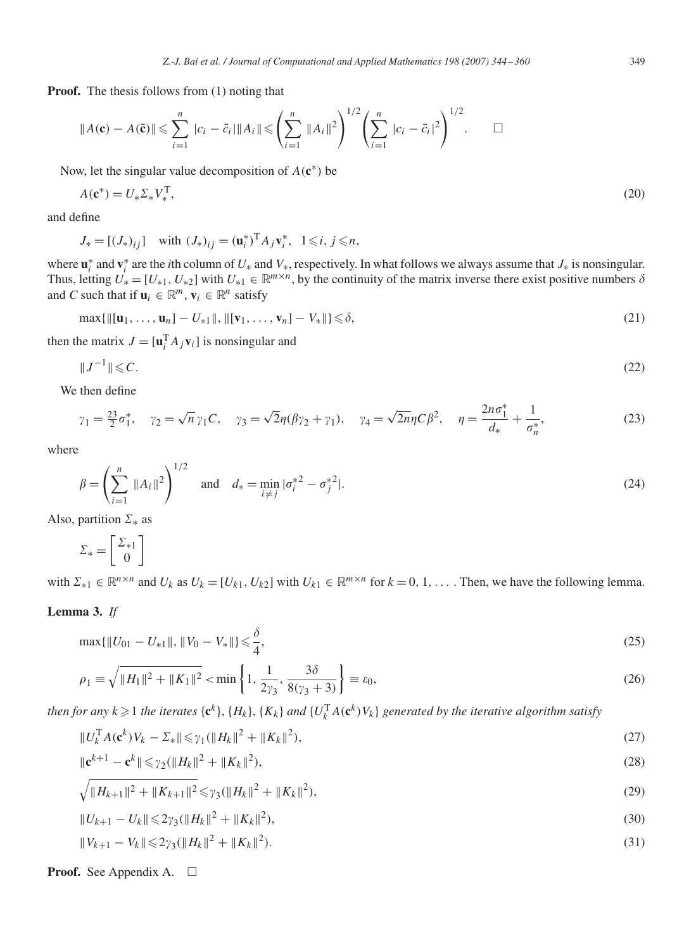**Proof.** The thesis follows from (1) noting that

$$
||A(\mathbf{c}) - A(\bar{\mathbf{c}})|| \leqslant \sum_{i=1}^{n} |c_i - \bar{c}_i| ||A_i|| \leqslant \left(\sum_{i=1}^{n} ||A_i||^2\right)^{1/2} \left(\sum_{i=1}^{n} |c_i - \bar{c}_i|^2\right)^{1/2}.
$$

Now, let the singular value decomposition of  $A(\mathbf{c}^*)$  be

$$
A(\mathbf{c}^*) = U_* \Sigma_* V_*^{\mathrm{T}},\tag{20}
$$

and define

$$
J_*=[(J_*)_{ij}] \quad \text{with } (J_*)_{ij}=(\mathbf{u}_i^*)^{\mathrm{T}} A_j \mathbf{v}_i^*, \quad 1\leq i, j\leq n,
$$

where  $\mathbf{u}_i^*$  and  $\mathbf{v}_i^*$  are the *i*th column of  $U_*$  and  $V_*$ , respectively. In what follows we always assume that  $J_*$  is nonsingular. Thus, letting  $U^{\prime}_{*} = [U_{*1}, U_{*2}]$  with  $U_{*1} \in \mathbb{R}^{m \times n}$ , by the continuity of the matrix inverse there exist positive numbers  $\delta$ and *C* such that if  $\mathbf{u}_i \in \mathbb{R}^m$ ,  $\mathbf{v}_i \in \mathbb{R}^n$  satisfy

$$
\max\{\|[{\bf u}_1,\ldots,{\bf u}_n]-U_{*1}\|,\|[{\bf v}_1,\ldots,{\bf v}_n]-V_{*}\|\}\leqslant\delta,
$$
\n(21)

then the matrix  $J = [\mathbf{u}_i^{\mathrm{T}} A_j \mathbf{v}_i]$  is nonsingular and

$$
||J^{-1}|| \leqslant C. \tag{22}
$$

We then define

$$
\gamma_1 = \frac{23}{2}\sigma_1^*, \quad \gamma_2 = \sqrt{n}\,\gamma_1 C, \quad \gamma_3 = \sqrt{2}\eta(\beta\gamma_2 + \gamma_1), \quad \gamma_4 = \sqrt{2n}\eta C\beta^2, \quad \eta = \frac{2n\sigma_1^*}{d_*} + \frac{1}{\sigma_n^*},\tag{23}
$$

where

$$
\beta = \left(\sum_{i=1}^{n} \|A_i\|^2\right)^{1/2} \quad \text{and} \quad d_* = \min_{i \neq j} |\sigma_i^{*2} - \sigma_j^{*2}|. \tag{24}
$$

Also, partition  $\Sigma_*$  as

$$
\Sigma_* = \begin{bmatrix} \Sigma_{*1} \\ 0 \end{bmatrix}
$$

with  $\Sigma_{*1} \in \mathbb{R}^{n \times n}$  and  $U_k$  as  $U_k = [U_{k1}, U_{k2}]$  with  $U_{k1} \in \mathbb{R}^{m \times n}$  for  $k = 0, 1, \ldots$ . Then, we have the following lemma.

### **Lemma 3.** *If*

$$
\max\{\|U_{01} - U_{*1}\|, \|V_0 - V_{*}\|\} \leq \frac{\delta}{4},\tag{25}
$$

$$
\rho_1 \equiv \sqrt{\|H_1\|^2 + \|K_1\|^2} < \min\left\{1, \frac{1}{2\gamma_3}, \frac{3\delta}{8(\gamma_3 + 3)}\right\} \equiv \varepsilon_0,\tag{26}
$$

*then for any k*  $\geqslant$  1 *the iterates* { $c^k$ }, { $H_k$ }, { $K_k$ } *and* { $U_k^{\rm T} A(c^k) V_k$ } *generated by the iterative algorithm satisfy* 

$$
||U_k^{\mathrm{T}} A(\mathbf{c}^k) V_k - \Sigma_* || \leq \gamma_1 (||H_k||^2 + ||K_k||^2),
$$
\n(27)

$$
\|\mathbf{c}^{k+1} - \mathbf{c}^k\| \leq \gamma_2 (\|H_k\|^2 + \|K_k\|^2),\tag{28}
$$

$$
\sqrt{\|H_{k+1}\|^2 + \|K_{k+1}\|^2} \leq \gamma_3 (\|H_k\|^2 + \|K_k\|^2),\tag{29}
$$

$$
||U_{k+1} - U_k|| \leq 2\gamma_3(||H_k||^2 + ||K_k||^2),
$$
\n(30)

$$
||V_{k+1} - V_k|| \leq 2\gamma_3(||H_k||^2 + ||K_k||^2). \tag{31}
$$

**Proof.** See Appendix A. □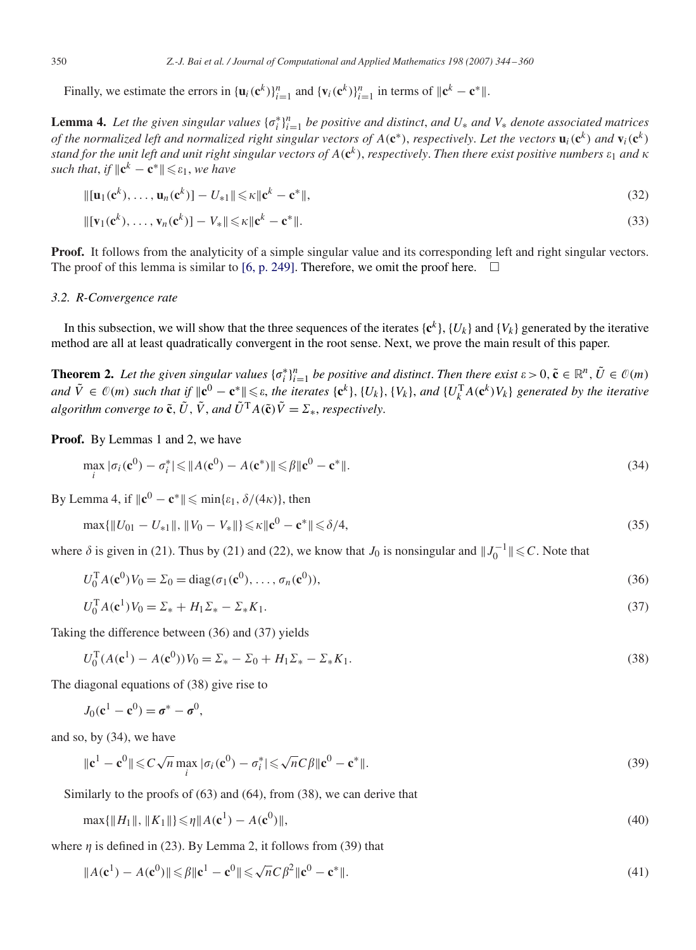Finally, we estimate the errors in  $\{\mathbf{u}_i(\mathbf{c}^k)\}_{i=1}^n$  and  $\{\mathbf{v}_i(\mathbf{c}^k)\}_{i=1}^n$  in terms of  $\|\mathbf{c}^k - \mathbf{c}^*\|$ .

**Lemma 4.** Let the given singular values  $\{\sigma_i^*\}_{i=1}^n$  be positive and distinct, and  $U_*$  and  $V_*$  denote associated matrices *of the normalized left and normalized right singular vectors of*  $A(c^*)$ *, respectively. Let the vectors*  $\mathbf{u}_i(c^k)$  *and*  $\mathbf{v}_i(c^k)$ *stand for the unit left and unit right singular vectors of*  $A(c^k)$ , *respectively. Then there exist positive numbers*  $\varepsilon_1$  *and*  $\kappa$ *such that, if*  $\|\mathbf{c}^k - \mathbf{c}^*\| \leq \varepsilon_1$ *, we have* 

$$
\|\left[\mathbf{u}_1(\mathbf{c}^k),\ldots,\mathbf{u}_n(\mathbf{c}^k)\right]-U_{*1}\|\leqslant \kappa \|\mathbf{c}^k-\mathbf{c}^*\|,\tag{32}
$$

$$
\|[\mathbf{v}_1(\mathbf{c}^k),\ldots,\mathbf{v}_n(\mathbf{c}^k)]-V_*\|\leq \kappa \|\mathbf{c}^k-\mathbf{c}^*\|.
$$
\n(33)

**Proof.** It follows from the analyticity of a simple singular value and its corresponding left and right singular vectors. The proof of this lemma is similar to [\[6, p. 249\].](#page-16-0) Therefore, we omit the proof here.  $\Box$ 

#### *3.2. R-Convergence rate*

In this subsection, we will show that the three sequences of the iterates  $\{c^k\}$ ,  $\{U_k\}$  and  $\{V_k\}$  generated by the iterative method are all at least quadratically convergent in the root sense. Next, we prove the main result of this paper.

**Theorem 2.** Let the given singular values  $\{\sigma_i^*\}_{i=1}^n$  be positive and distinct. Then there exist  $\varepsilon > 0$ ,  $\tilde{\mathbf{c}} \in \mathbb{R}^n$ ,  $\tilde{U} \in \mathcal{O}(m)$ and  $\tilde{V} \in \mathcal{O}(m)$  such that if  $\|\mathbf{c}^0 - \mathbf{c}^*\| \leq \varepsilon$ , the iterates  $\{\mathbf{c}^k\}$ ,  $\{U_k\}$ ,  $\{V_k\}$ , and  $\{U_k^T A(\mathbf{c}^k)V_k\}$  generated by the iterative *algorithm converge to*  $\tilde{\mathbf{c}}$ ,  $\tilde{U}$ ,  $\tilde{V}$ , and  $\tilde{U}^{\mathsf{T}} A(\tilde{\mathbf{c}}) \tilde{V} = \Sigma_*$ , respectively.

**Proof.** By Lemmas 1 and 2, we have

$$
\max_{i} |\sigma_i(\mathbf{c}^0) - \sigma_i^*| \leq ||A(\mathbf{c}^0) - A(\mathbf{c}^*)|| \leq \beta ||\mathbf{c}^0 - \mathbf{c}^*||. \tag{34}
$$

By Lemma 4, if  $\|\mathbf{c}^0 - \mathbf{c}^*\| \leqslant \min\{\varepsilon_1, \delta/(4\kappa)\}\)$ , then

$$
\max\{\|U_{01} - U_{*1}\|, \|V_0 - V_{*}\|\} \le \kappa \|\mathbf{c}^0 - \mathbf{c}^*\| \le \delta/4,\tag{35}
$$

where  $\delta$  is given in (21). Thus by (21) and (22), we know that *J*<sub>0</sub> is nonsingular and  $||J_0^{-1}|| \leq C$ . Note that

$$
U_0^{\mathrm{T}} A(\mathbf{c}^0) V_0 = \Sigma_0 = \text{diag}(\sigma_1(\mathbf{c}^0), \dots, \sigma_n(\mathbf{c}^0)),
$$
\n(36)

$$
U_0^{\rm T} A(\mathbf{c}^1) V_0 = \Sigma_* + H_1 \Sigma_* - \Sigma_* K_1. \tag{37}
$$

Taking the difference between (36) and (37) yields

$$
U_0^{\rm T}(A(\mathbf{c}^1) - A(\mathbf{c}^0))V_0 = \Sigma_* - \Sigma_0 + H_1 \Sigma_* - \Sigma_* K_1.
$$
\n(38)

The diagonal equations of (38) give rise to

$$
J_0(\mathbf{c}^1-\mathbf{c}^0)=\boldsymbol{\sigma}^*-\boldsymbol{\sigma}^0,
$$

and so, by (34), we have

$$
\|\mathbf{c}^{1}-\mathbf{c}^{0}\|\leqslant C\sqrt{n}\max_{i}|\sigma_{i}(\mathbf{c}^{0})-\sigma_{i}^{*}|\leqslant\sqrt{n}C\beta\|\mathbf{c}^{0}-\mathbf{c}^{*}\|.
$$
\n(39)

Similarly to the proofs of (63) and (64), from (38), we can derive that

$$
\max\{\|H_1\|, \|K_1\|\} \leqslant \eta \|A(c^1) - A(c^0)\|,\tag{40}
$$

where  $\eta$  is defined in (23). By Lemma 2, it follows from (39) that

$$
||A(\mathbf{c}^1) - A(\mathbf{c}^0)|| \leq \beta ||\mathbf{c}^1 - \mathbf{c}^0|| \leq \sqrt{n}C\beta^2 ||\mathbf{c}^0 - \mathbf{c}^*||. \tag{41}
$$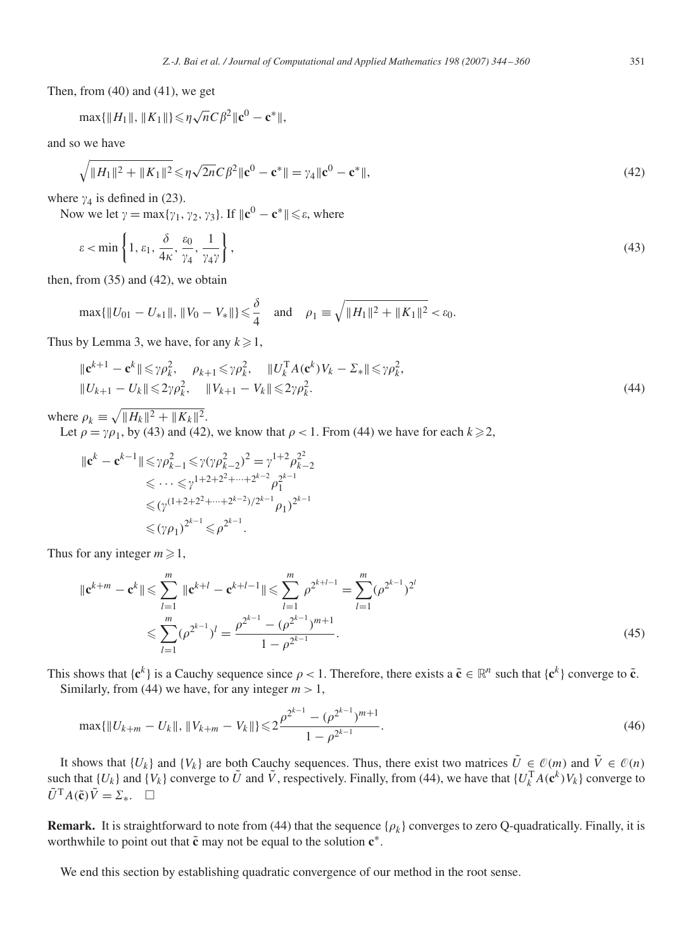Then, from (40) and (41), we get

$$
\max\{\|H_1\|, \|K_1\|\} \leqslant \eta \sqrt{n} C\beta^2 \|\mathbf{c}^0 - \mathbf{c}^*\|,
$$

and so we have

$$
\sqrt{\|H_1\|^2 + \|K_1\|^2} \le \eta \sqrt{2n} C \beta^2 \|\mathbf{c}^0 - \mathbf{c}^*\| = \gamma_4 \|\mathbf{c}^0 - \mathbf{c}^*\|,
$$
\n(42)

where  $\gamma_4$  is defined in (23).

Now we let  $\gamma = \max{\{\gamma_1, \gamma_2, \gamma_3\}}$ . If  $\|\mathbf{c}^0 - \mathbf{c}^*\| \leq \varepsilon$ , where

$$
\varepsilon < \min\left\{1, \varepsilon_1, \frac{\delta}{4\kappa}, \frac{\varepsilon_0}{\gamma_4}, \frac{1}{\gamma_4\gamma}\right\},\tag{43}
$$

then, from  $(35)$  and  $(42)$ , we obtain

$$
\max\{\|U_{01}-U_{*1}\|,\|V_0-V_{*}\|\}\leq \frac{\delta}{4} \quad \text{and} \quad \rho_1\equiv \sqrt{\|H_1\|^2+\|K_1\|^2}<\varepsilon_0.
$$

Thus by Lemma 3, we have, for any  $k \ge 1$ ,

$$
\begin{aligned} &\|\mathbf{c}^{k+1} - \mathbf{c}^k\| \leqslant \gamma \rho_k^2, \quad \rho_{k+1} \leqslant \gamma \rho_k^2, \quad \|U_k^{\mathrm{T}} A(\mathbf{c}^k) V_k - \Sigma_* \| \leqslant \gamma \rho_k^2, \\ &\|U_{k+1} - U_k\| \leqslant 2\gamma \rho_k^2, \quad \|V_{k+1} - V_k\| \leqslant 2\gamma \rho_k^2. \end{aligned} \tag{44}
$$

where  $\rho_k \equiv \sqrt{||H_k||^2 + ||K_k||^2}$ .

Let  $\rho = \gamma \rho_1$ , by (43) and (42), we know that  $\rho < 1$ . From (44) we have for each  $k \ge 2$ ,

$$
\begin{split} \|\mathbf{c}^{k}-\mathbf{c}^{k-1}\|&\leqslant\gamma\rho_{k-1}^{2}\leqslant\gamma(\gamma\rho_{k-2}^{2})^{2}=\gamma^{1+2}\rho_{k-2}^{2^{2}}\\ &\leqslant\cdots\leqslant\gamma^{1+2+2^{2}+\cdots+2^{k-2}}\rho_{1}^{2^{k-1}}\\ &\leqslant(\gamma^{(1+2+2^{2}+\cdots+2^{k-2})/2^{k-1}}\rho_{1})^{2^{k-1}}\\ &\leqslant(\gamma\rho_{1})^{2^{k-1}}\leqslant\rho^{2^{k-1}}.\end{split}
$$

Thus for any integer  $m \ge 1$ ,

$$
\|\mathbf{c}^{k+m} - \mathbf{c}^k\| \leq \sum_{l=1}^m \|\mathbf{c}^{k+l} - \mathbf{c}^{k+l-1}\| \leq \sum_{l=1}^m \rho^{2^{k+l-1}} = \sum_{l=1}^m (\rho^{2^{k-l}})^{2^l}
$$
  
 
$$
\leq \sum_{l=1}^m (\rho^{2^{k-1}})^l = \frac{\rho^{2^{k-1}} - (\rho^{2^{k-1}})^{m+1}}{1 - \rho^{2^{k-1}}}.
$$
 (45)

This shows that  $\{c^k\}$  is a Cauchy sequence since  $\rho < 1$ . Therefore, there exists a  $\tilde{\mathbf{c}} \in \mathbb{R}^n$  such that  $\{c^k\}$  converge to  $\tilde{\mathbf{c}}$ . Similarly, from (44) we have, for any integer  $m > 1$ ,

$$
\max\{\|U_{k+m} - U_k\|, \|V_{k+m} - V_k\|\} \leqslant 2\frac{\rho^{2^{k-1}} - (\rho^{2^{k-1}})^{m+1}}{1 - \rho^{2^{k-1}}}.
$$
\n(46)

It shows that  $\{U_k\}$  and  $\{V_k\}$  are both Cauchy sequences. Thus, there exist two matrices  $\tilde{U} \in \mathcal{O}(m)$  and  $\tilde{V} \in \mathcal{O}(n)$ such that  $\{U_k\}$  and  $\{V_k\}$  converge to  $\tilde{U}$  and  $\tilde{V}$ , respectively. Finally, from (44), we have that  $\{U_k^T A(\mathbf{c}^k)V_k\}$  converge to  $\tilde{U}^{\mathrm{T}}A(\tilde{\mathbf{c}})\tilde{V}=\Sigma_*$ .

**Remark.** It is straightforward to note from (44) that the sequence  $\{\rho_k\}$  converges to zero Q-quadratically. Finally, it is worthwhile to point out that  $\tilde{c}$  may not be equal to the solution  $c^*$ .

We end this section by establishing quadratic convergence of our method in the root sense.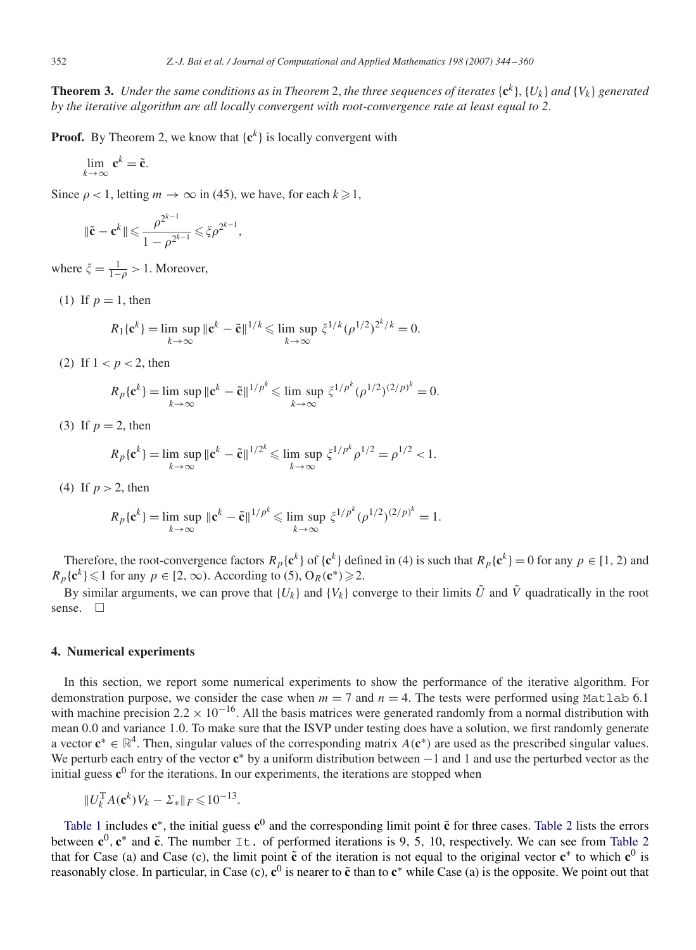**Theorem 3.** *Under the same conditions as in Theorem 2, the three sequences of iterates*  $\{c^k\}$ ,  $\{U_k\}$  *and*  $\{V_k\}$  *generated by the iterative algorithm are all locally convergent with root-convergence rate at least equal to 2*.

**Proof.** By Theorem 2, we know that  $\{c^k\}$  is locally convergent with

$$
\lim_{k\to\infty} \mathbf{c}^k = \tilde{\mathbf{c}}.
$$

Since  $\rho < 1$ , letting  $m \to \infty$  in (45), we have, for each  $k \ge 1$ ,

$$
\|\tilde{\mathbf{c}}-\mathbf{c}^k\|\leqslant \frac{\rho^{2^{k-1}}}{1-\rho^{2^{k-1}}}\!\leqslant \! \xi\rho^{2^{k-1}},
$$

where  $\xi = \frac{1}{1-\rho} > 1$ . Moreover,

(1) If  $p = 1$ , then

$$
R_1\{c^k\} = \limsup_{k \to \infty} \|c^k - \tilde{c}\|^{1/k} \le \limsup_{k \to \infty} \xi^{1/k} (\rho^{1/2})^{2^k/k} = 0.
$$

(2) If  $1 < p < 2$ , then

$$
R_p\{\mathbf{c}^k\} = \limsup_{k\to\infty} \|\mathbf{c}^k - \tilde{\mathbf{c}}\|^{1/p^k} \le \limsup_{k\to\infty} \xi^{1/p^k} (\rho^{1/2})^{(2/p)^k} = 0.
$$

(3) If  $p = 2$ , then

$$
R_p\{\mathbf{c}^k\} = \limsup_{k \to \infty} \|\mathbf{c}^k - \tilde{\mathbf{c}}\|^{1/2^k} \le \limsup_{k \to \infty} \xi^{1/p^k} \rho^{1/2} = \rho^{1/2} < 1.
$$

(4) If  $p > 2$ , then

$$
R_p\{\mathbf{c}^k\} = \limsup_{k \to \infty} \|\mathbf{c}^k - \tilde{\mathbf{c}}\|^{1/p^k} \le \limsup_{k \to \infty} \xi^{1/p^k} (\rho^{1/2})^{(2/p)^k} = 1.
$$

Therefore, the root-convergence factors  $R_p\{c^k\}$  of  $\{c^k\}$  defined in (4) is such that  $R_p\{c^k\} = 0$  for any  $p \in [1, 2)$  and  $R_p\{c^k\} \leq 1$  for any  $p \in [2, \infty)$ . According to (5),  $O_R(c^*) \geq 2$ .

By similar arguments, we can prove that  $\{U_k\}$  and  $\{V_k\}$  converge to their limits  $\tilde{U}$  and  $\tilde{V}$  quadratically in the root sense.  $\square$ 

### **4. Numerical experiments**

In this section, we report some numerical experiments to show the performance of the iterative algorithm. For demonstration purpose, we consider the case when  $m = 7$  and  $n = 4$ . The tests were performed using Matlab 6.1 with machine precision  $2.2 \times 10^{-16}$ . All the basis matrices were generated randomly from a normal distribution with mean 0*.*0 and variance 1*.*0. To make sure that the ISVP under testing does have a solution, we first randomly generate a vector  $\mathbf{c}^* \in \mathbb{R}^4$ . Then, singular values of the corresponding matrix  $A(\mathbf{c}^*)$  are used as the prescribed singular values. We perturb each entry of the vector **c**<sup>∗</sup> by a uniform distribution between −1 and 1 and use the perturbed vector as the initial guess  $c^0$  for the iterations. In our experiments, the iterations are stopped when

$$
||U_k^{\mathrm{T}} A(\mathbf{c}^k) V_k - \Sigma_*||_F \leq 10^{-13}.
$$

[Table 1](#page-9-0) includes  $c^*$ , the initial guess  $c^0$  and the corresponding limit point  $\tilde{c}$  for three cases. [Table 2](#page-9-0) lists the errors between  $c^0$ ,  $c^*$  and  $\tilde{c}$ . The number It. of performed iterations is 9, 5, 10, respectively. We can see from [Table 2](#page-9-0) that for Case (a) and Case (c), the limit point  $\tilde{c}$  of the iteration is not equal to the original vector  $c^*$  to which  $c^0$  is reasonably close. In particular, in Case (c),  $c^0$  is nearer to  $\tilde{c}$  than to  $c^*$  while Case (a) is the opposite. We point out that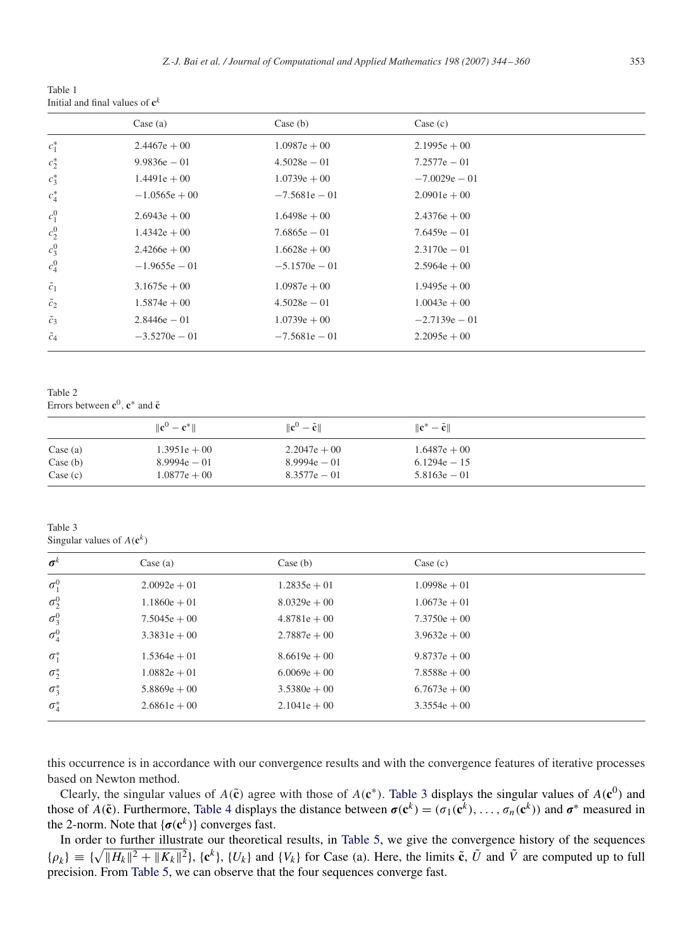<span id="page-9-0"></span>Table 1 Initial and final values of  $c^k$ 

|               | Case (a)        | Case $(b)$      | Case $(c)$      |  |
|---------------|-----------------|-----------------|-----------------|--|
| $c_1^*$       | $2.4467e + 00$  | $1.0987e + 00$  | $2.1995e + 00$  |  |
| $c_2^*$       | $9.9836e - 01$  | $4.5028e - 01$  | $7.2577e - 01$  |  |
| $c_3^*$       | $1.4491e + 00$  | $1.0739e + 00$  | $-7.0029e - 01$ |  |
| $c_4^*$       | $-1.0565e + 00$ | $-7.5681e - 01$ | $2.0901e + 00$  |  |
| $c_1^0$       | $2.6943e + 00$  | $1.6498e + 00$  | $2.4376e + 00$  |  |
| $c_2^0$       | $1.4342e + 00$  | $7.6865e - 01$  | $7.6459e - 01$  |  |
| $c_3^0$       | $2.4266e + 00$  | $1.6628e + 00$  | $2.3170e - 01$  |  |
| $c_4^0$       | $-1.9655e - 01$ | $-5.1570e - 01$ | $2.5964e + 00$  |  |
| $\tilde{c}_1$ | $3.1675e + 00$  | $1.0987e + 00$  | $1.9495e + 00$  |  |
| $\tilde{c}_2$ | $1.5874e + 00$  | $4.5028e - 01$  | $1.0043e + 00$  |  |
| $\tilde{c}_3$ | $2.8446e - 01$  | $1.0739e + 00$  | $-2.7139e - 01$ |  |
| $\tilde{c}_4$ | $-3.5270e - 01$ | $-7.5681e - 01$ | $2.2095e + 00$  |  |

Table 2

Errors between  $c^0$ ,  $c^*$  and  $\tilde{c}$ 

|            | $\ {\bf c}^0 - {\bf c}^*\ $ | $\ {\bf c}^0 - \tilde{\bf c}\ $ | $\ \mathbf{c}^*-\tilde{\mathbf{c}}\ $ |  |
|------------|-----------------------------|---------------------------------|---------------------------------------|--|
| Case $(a)$ | $1.3951e + 00$              | $2.2047e + 00$                  | $1.6487e + 00$                        |  |
| Case $(b)$ | $8.9994e - 01$              | $8.9994e - 01$                  | $6.1294e - 15$                        |  |
| Case $(c)$ | $1.0877e + 00$              | $8.3577e - 01$                  | $5.8163e - 01$                        |  |

Table 3 Singular values of  $A(e^k)$ 

| $\boldsymbol{\sigma}^k$ | Case (a)       | Case (b)       | Case (c)       |
|-------------------------|----------------|----------------|----------------|
| $\sigma_1^0$            | $2.0092e + 01$ | $1.2835e + 01$ | $1.0998e + 01$ |
| $\sigma_2^0$            | $1.1860e + 01$ | $8.0329e + 00$ | $1.0673e + 01$ |
| $\sigma_3^0$            | $7.5045e + 00$ | $4.8781e + 00$ | $7.3750e + 00$ |
| $\sigma_4^0$            | $3.3831e + 00$ | $2.7887e + 00$ | $3.9632e + 00$ |
| $\sigma_1^*$            | $1.5364e + 01$ | $8.6619e + 00$ | $9.8737e + 00$ |
| $\sigma_2^*$            | $1.0882e + 01$ | $6.0069e + 00$ | $7.8588e + 00$ |
| $\sigma_3^*$            | $5.8869e + 00$ | $3.5380e + 00$ | $6.7673e + 00$ |
| $\sigma_4^*$            | $2.6861e + 00$ | $2.1041e + 00$ | $3.3554e + 00$ |

this occurrence is in accordance with our convergence results and with the convergence features of iterative processes based on Newton method.

Clearly, the singular values of  $A(\tilde{c})$  agree with those of  $A(c^*)$ . Table 3 displays the singular values of  $A(c^0)$  and those of  $A(\tilde{\mathbf{c}})$ . Furthermore, [Table 4](#page-10-0) displays the distance between  $\sigma(\mathbf{c}^k) = (\sigma_1(\mathbf{c}^k), \dots, \sigma_n(\mathbf{c}^k))$  and  $\sigma^*$  measured in the 2-norm. Note that  $\{\sigma(\mathbf{c}^k)\}$  converges fast.

In order to further illustrate our theoretical results, in [Table 5,](#page-10-0) we give the convergence history of the sequences  $\{\rho_k\} \equiv \{\sqrt{\|H_k\|^2 + \|K_k\|^2}\}$ ,  $\{\mathbf{c}^k\}$ ,  $\{U_k\}$  and  $\{V_k\}$  for Case (a). Here, the limits  $\tilde{\mathbf{c}}$ ,  $\tilde{U}$  and  $\tilde{V}$  are computed up to full precision. From [Table 5,](#page-10-0) we can observe that the four sequences converge fast.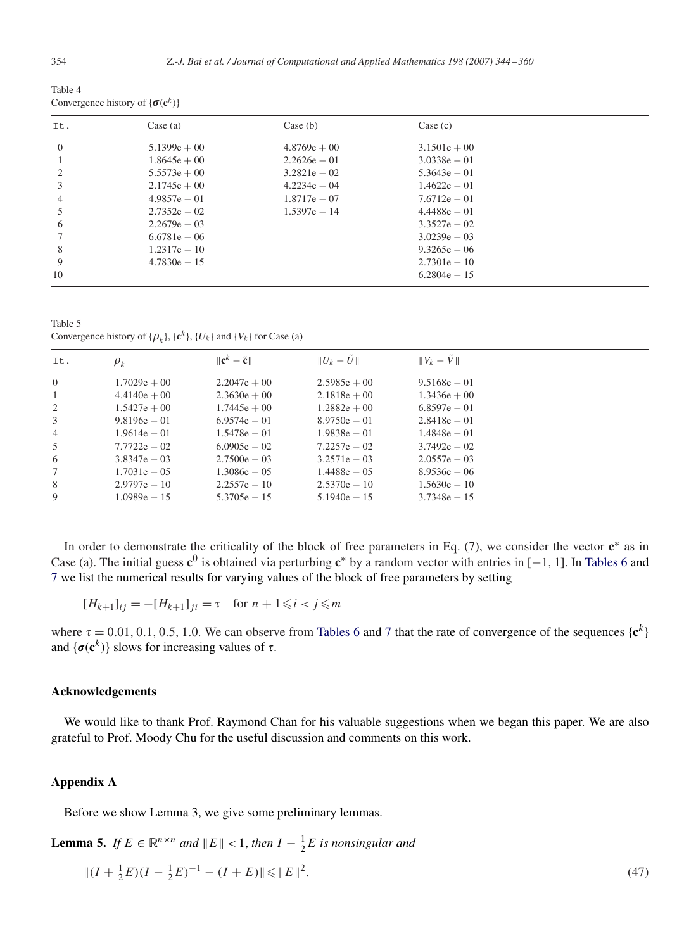<span id="page-10-0"></span>Table 4 Convergence history of  $\{\boldsymbol{\sigma}(\mathbf{c}^k)\}$ 

| It.            | Case $(a)$     | Case (b)       | Case (c)       |  |
|----------------|----------------|----------------|----------------|--|
| $\overline{0}$ | $5.1399e + 00$ | $4.8769e + 00$ | $3.1501e + 00$ |  |
|                | $1.8645e + 00$ | $2.2626e - 01$ | $3.0338e - 01$ |  |
| 2              | $5.5573e + 00$ | $3.2821e - 02$ | $5.3643e - 01$ |  |
| 3              | $2.1745e + 00$ | $4.2234e - 04$ | $1.4622e - 01$ |  |
| 4              | $4.9857e - 01$ | $1.8717e - 07$ | $7.6712e - 01$ |  |
| 5              | $2.7352e - 02$ | $1.5397e - 14$ | $4.4488e - 01$ |  |
| 6              | $2.2679e - 03$ |                | $3.3527e - 02$ |  |
|                | $6.6781e - 06$ |                | $3.0239e - 03$ |  |
| 8              | $1.2317e - 10$ |                | $9.3265e - 06$ |  |
| 9              | $4.7830e - 15$ |                | $2.7301e - 10$ |  |
| 10             |                |                | $6.2804e - 15$ |  |

Table 5 Convergence history of  $\{\rho_k\}$ ,  $\{\mathbf{c}^k\}$ ,  $\{U_k\}$  and  $\{V_k\}$  for Case (a)

| It.            | $\rho_k$        | $\ \mathbf{c}^k - \tilde{\mathbf{c}}\ $ | $  U_k-U  $    | $  V_k - V  $  |  |
|----------------|-----------------|-----------------------------------------|----------------|----------------|--|
| $\overline{0}$ | $1.7029e + 00$  | $2.2047e + 00$                          | $2.5985e + 00$ | $9.5168e - 01$ |  |
| -1             | $4.4140e + 00$  | $2.3630e + 00$                          | $2.1818e + 00$ | $1.3436e + 00$ |  |
| 2              | $1.5427e + 00$  | $1.7445e + 00$                          | $1.2882e + 00$ | $6.8597e - 01$ |  |
| 3              | $9.8196e - 01$  | $6.9574e - 01$                          | $8.9750e - 01$ | $2.8418e - 01$ |  |
| $\overline{4}$ | $1.9614e - 01$  | $1.5478e - 01$                          | $1.9838e - 01$ | $1.4848e - 01$ |  |
| 5              | $7.7722e - 02$  | $6.0905e - 02$                          | $7.2257e - 02$ | $3.7492e - 02$ |  |
| 6              | $3.8347e - 03$  | $2.7500e - 03$                          | $3.2571e - 03$ | $2.0557e - 03$ |  |
| 7              | $1.7031e - 0.5$ | $1.3086e - 05$                          | $1.4488e - 05$ | $8.9536e - 06$ |  |
| 8              | $2.9797e - 10$  | $2.2557e - 10$                          | $2.5370e - 10$ | $1.5630e - 10$ |  |
| 9              | $1.0989e - 15$  | $5.3705e - 15$                          | $5.1940e - 15$ | $3.7348e - 15$ |  |

In order to demonstrate the criticality of the block of free parameters in Eq. (7), we consider the vector **c**<sup>∗</sup> as in Case (a). The initial guess **c**<sup>0</sup> is obtained via perturbing **c**<sup>∗</sup> by a random vector with entries in [−1*,* 1]. In [Tables 6](#page-11-0) and [7](#page-12-0) we list the numerical results for varying values of the block of free parameters by setting

$$
[H_{k+1}]_{ij} = -[H_{k+1}]_{ji} = \tau \quad \text{for } n+1 \leq i < j \leq m
$$

where  $\tau = 0.01, 0.1, 0.5, 1.0$ . We can observe from [Tables 6](#page-11-0) and [7](#page-12-0) that the rate of convergence of the sequences  $\{c^k\}$ and  $\{\sigma(\mathbf{c}^k)\}\$  slows for increasing values of  $\tau$ .

# **Acknowledgements**

We would like to thank Prof. Raymond Chan for his valuable suggestions when we began this paper. We are also grateful to Prof. Moody Chu for the useful discussion and comments on this work.

### **Appendix A**

Before we show Lemma 3, we give some preliminary lemmas.

**Lemma 5.** *If*  $E \in \mathbb{R}^{n \times n}$  *and*  $||E|| < 1$ *, then*  $I - \frac{1}{2}E$  *is nonsingular and* 

$$
||(I + \frac{1}{2}E)(I - \frac{1}{2}E)^{-1} - (I + E)|| \le ||E||^2.
$$
\n(47)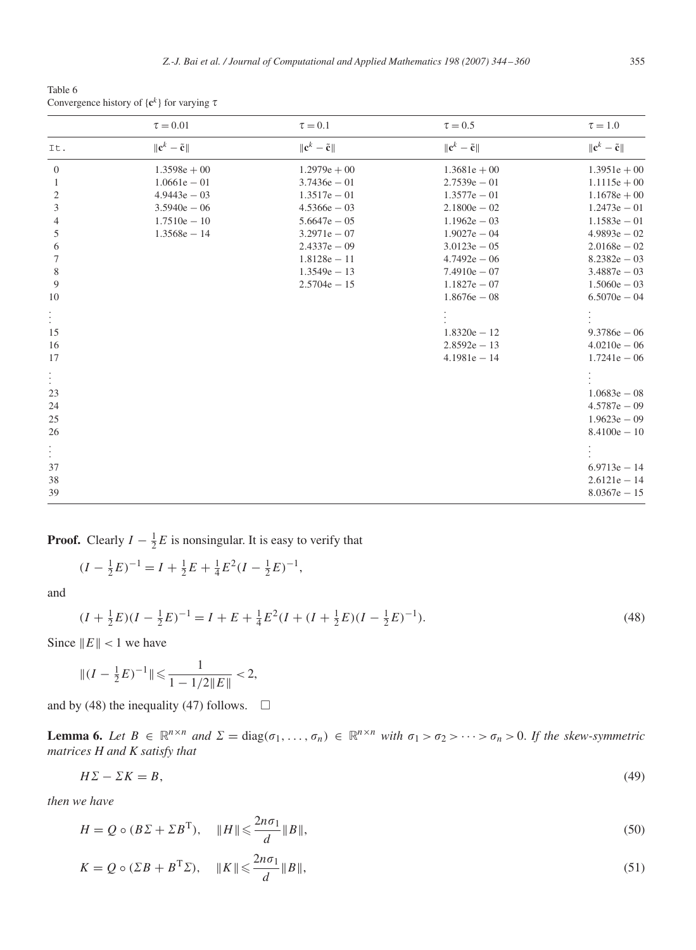<span id="page-11-0"></span>Table 6 Convergence history of  $\{c^k\}$  for varying  $\tau$ 

|              | $\tau = 0.01$                           | $\tau = 0.1$                            | $\tau = 0.5$                            | $\tau=1.0$                              |
|--------------|-----------------------------------------|-----------------------------------------|-----------------------------------------|-----------------------------------------|
| It.          | $\ \mathbf{c}^k - \tilde{\mathbf{c}}\ $ | $\ \mathbf{c}^k - \tilde{\mathbf{c}}\ $ | $\ \mathbf{c}^k - \tilde{\mathbf{c}}\ $ | $\ \mathbf{c}^k - \tilde{\mathbf{c}}\ $ |
| $\mathbf{0}$ | $1.3598e + 00$                          | $1.2979e + 00$                          | $1.3681e + 00$                          | $1.3951e + 00$                          |
| 1            | $1.0661e - 01$                          | $3.7436e - 01$                          | $2.7539e - 01$                          | $1.1115e + 00$                          |
| 2            | $4.9443e - 03$                          | $1.3517e - 01$                          | $1.3577e - 01$                          | $1.1678e + 00$                          |
| 3            | $3.5940e - 06$                          | $4.5366e - 03$                          | $2.1800e - 02$                          | $1.2473e - 01$                          |
| 4            | $1.7510e - 10$                          | $5.6647e - 05$                          | $1.1962e - 03$                          | $1.1583e - 01$                          |
| 5            | $1.3568e - 14$                          | $3.2971e - 07$                          | $1.9027e - 04$                          | $4.9893e - 02$                          |
| 6            |                                         | $2.4337e - 09$                          | $3.0123e - 05$                          | $2.0168e - 02$                          |
| 7            |                                         | $1.8128e - 11$                          | $4.7492e - 06$                          | $8.2382e - 03$                          |
| 8            |                                         | $1.3549e - 13$                          | $7.4910e - 07$                          | $3.4887e - 03$                          |
| 9            |                                         | $2.5704e - 15$                          | $1.1827e - 07$                          | $1.5060e - 03$                          |
| 10           |                                         |                                         | $1.8676e - 08$                          | $6.5070e - 04$                          |
| $\vdots$     |                                         |                                         |                                         |                                         |
| 15           |                                         |                                         | $1.8320e - 12$                          | $9.3786e - 06$                          |
| 16           |                                         |                                         | $2.8592e - 13$                          | $4.0210e - 06$                          |
| 17           |                                         |                                         | $4.1981e - 14$                          | $1.7241e - 06$                          |
| ŧ,           |                                         |                                         |                                         |                                         |
| 23           |                                         |                                         |                                         | $1.0683e - 08$                          |
| 24           |                                         |                                         |                                         | $4.5787e - 09$                          |
| 25           |                                         |                                         |                                         | $1.9623e - 09$                          |
| 26           |                                         |                                         |                                         | $8.4100e - 10$                          |
| $\vdots$     |                                         |                                         |                                         |                                         |
| 37           |                                         |                                         |                                         | $6.9713e - 14$                          |
| 38           |                                         |                                         |                                         | $2.6121e - 14$                          |
| 39           |                                         |                                         |                                         | $8.0367e - 15$                          |

**Proof.** Clearly  $I - \frac{1}{2}E$  is nonsingular. It is easy to verify that

$$
(I - \frac{1}{2}E)^{-1} = I + \frac{1}{2}E + \frac{1}{4}E^2(I - \frac{1}{2}E)^{-1},
$$

and

$$
(I + \frac{1}{2}E)(I - \frac{1}{2}E)^{-1} = I + E + \frac{1}{4}E^{2}(I + (I + \frac{1}{2}E)(I - \frac{1}{2}E)^{-1}).
$$
\n(48)

Since  $||E|| < 1$  we have

$$
\|(I - \frac{1}{2}E)^{-1}\| \leq \frac{1}{1 - 1/2\|E\|} < 2,
$$

and by (48) the inequality (47) follows.  $\Box$ 

**Lemma 6.** Let  $B \in \mathbb{R}^{n \times n}$  and  $\Sigma = \text{diag}(\sigma_1, \ldots, \sigma_n) \in \mathbb{R}^{n \times n}$  with  $\sigma_1 > \sigma_2 > \cdots > \sigma_n > 0$ . If the skew-symmetric *matrices H and K satisfy that*

$$
H\Sigma - \Sigma K = B,\tag{49}
$$

*then we have*

$$
H = Q \circ (B\Sigma + \Sigma B^{T}), \quad \|H\| \leqslant \frac{2n\sigma_1}{d} \|B\|,\tag{50}
$$

$$
K = Q \circ (\Sigma B + B^{\mathrm{T}} \Sigma), \quad \|K\| \leqslant \frac{2n\sigma_1}{d} \|B\|,\tag{51}
$$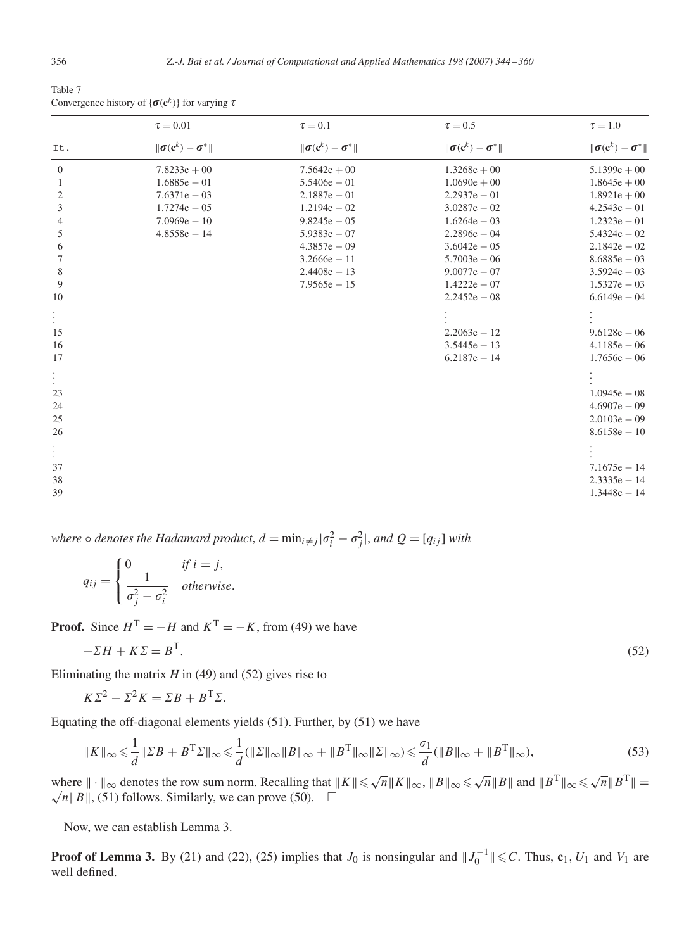|              | $\tau = 0.01$                                                 | $\tau = 0.1$                                                  | $\tau = 0.5$                                                  | $\tau = 1.0$                                                  |
|--------------|---------------------------------------------------------------|---------------------------------------------------------------|---------------------------------------------------------------|---------------------------------------------------------------|
| It.          | $\ \boldsymbol{\sigma}(\mathbf{c}^k)-\boldsymbol{\sigma}^*\ $ | $\ \boldsymbol{\sigma}(\mathbf{c}^k)-\boldsymbol{\sigma}^*\ $ | $\ \boldsymbol{\sigma}(\mathbf{c}^k)-\boldsymbol{\sigma}^*\ $ | $\ \boldsymbol{\sigma}(\mathbf{c}^k)-\boldsymbol{\sigma}^*\ $ |
| $\mathbf{0}$ | $7.8233e + 00$                                                | $7.5642e + 00$                                                | $1.3268e + 00$                                                | $5.1399e + 00$                                                |
| 1            | $1.6885e - 01$                                                | $5.5406e - 01$                                                | $1.0690e + 00$                                                | $1.8645e + 00$                                                |
| 2            | $7.6371e - 03$                                                | $2.1887e - 01$                                                | $2.2937e - 01$                                                | $1.8921e + 00$                                                |
| 3            | $1.7274e - 05$                                                | $1.2194e - 02$                                                | $3.0287e - 02$                                                | $4.2543e - 01$                                                |
| 4            | $7.0969e - 10$                                                | $9.8245e - 05$                                                | $1.6264e - 03$                                                | $1.2323e - 01$                                                |
| 5            | $4.8558e - 14$                                                | $5.9383e - 07$                                                | $2.2896e - 04$                                                | $5.4324e - 02$                                                |
| 6            |                                                               | $4.3857e - 09$                                                | $3.6042e - 05$                                                | $2.1842e - 02$                                                |
| 7            |                                                               | $3.2666e - 11$                                                | $5.7003e - 06$                                                | $8.6885e - 03$                                                |
| 8            |                                                               | $2.4408e - 13$                                                | $9.0077e - 07$                                                | $3.5924e - 03$                                                |
| 9            |                                                               | $7.9565e - 15$                                                | $1.4222e - 07$                                                | $1.5327e - 03$                                                |
| 10           |                                                               |                                                               | $2.2452e - 08$                                                | $6.6149e - 04$                                                |
| $\vdots$     |                                                               |                                                               |                                                               |                                                               |
| 15           |                                                               |                                                               | $2.2063e - 12$                                                | $9.6128e - 06$                                                |
| 16           |                                                               |                                                               | $3.5445e - 13$                                                | $4.1185e - 06$                                                |
| 17           |                                                               |                                                               | $6.2187e - 14$                                                | $1.7656e - 06$                                                |
| ŧ,           |                                                               |                                                               |                                                               |                                                               |
|              |                                                               |                                                               |                                                               |                                                               |
| 23           |                                                               |                                                               |                                                               | $1.0945e - 08$                                                |
| 24           |                                                               |                                                               |                                                               | $4.6907e - 09$                                                |
| 25           |                                                               |                                                               |                                                               | $2.0103e - 09$                                                |
| 26           |                                                               |                                                               |                                                               | $8.6158e - 10$                                                |
| ŧ,           |                                                               |                                                               |                                                               |                                                               |
| 37           |                                                               |                                                               |                                                               | $7.1675e - 14$                                                |
| 38           |                                                               |                                                               |                                                               | $2.3335e - 14$                                                |
| 39           |                                                               |                                                               |                                                               | $1.3448e - 14$                                                |
|              |                                                               |                                                               |                                                               |                                                               |

<span id="page-12-0"></span>Table 7 Convergence history of  $\{\boldsymbol{\sigma}(\mathbf{c}^k)\}\$ for varying  $\tau$ 

*where*  $\circ$  *denotes the Hadamard product,*  $d = \min_{i \neq j} |\sigma_i^2 - \sigma_j^2|$ *, and*  $Q = [q_{ij}]$  *with* 

$$
q_{ij} = \begin{cases} 0 & \text{if } i = j, \\ \frac{1}{\sigma_j^2 - \sigma_i^2} & \text{otherwise.} \end{cases}
$$

**Proof.** Since  $H^T = -H$  and  $K^T = -K$ , from (49) we have

$$
-\Sigma H + K\Sigma = B^{\mathrm{T}}.\tag{52}
$$

Eliminating the matrix  $H$  in (49) and (52) gives rise to

$$
K\Sigma^2 - \Sigma^2 K = \Sigma B + B^{\mathrm{T}}\Sigma.
$$

Equating the off-diagonal elements yields (51). Further, by (51) we have

$$
\|K\|_{\infty} \leq \frac{1}{d} \|\Sigma B + B^{\mathrm{T}} \Sigma\|_{\infty} \leq \frac{1}{d} (\|\Sigma\|_{\infty} \|B\|_{\infty} + \|B^{\mathrm{T}}\|_{\infty} \|\Sigma\|_{\infty}) \leq \frac{\sigma_1}{d} (\|B\|_{\infty} + \|B^{\mathrm{T}}\|_{\infty}),\tag{53}
$$

where  $\|\cdot\|_{\infty}$  denotes the row sum norm. Recalling that  $\|K\| \leq \sqrt{n} \|K\|_{\infty}$ ,  $\|B\|_{\infty} \leq \sqrt{n} \|B\|$  and  $\|B^T\|_{\infty} \leq \sqrt{n} \|B^T\|$  $\sqrt{n}$  *B* | (51) follows. Similarly, we can prove (50). □

Now, we can establish Lemma 3.

**Proof of Lemma 3.** By (21) and (22), (25) implies that  $J_0$  is nonsingular and  $||J_0^{-1}|| \leq C$ . Thus,  $c_1, U_1$  and  $V_1$  are well defined.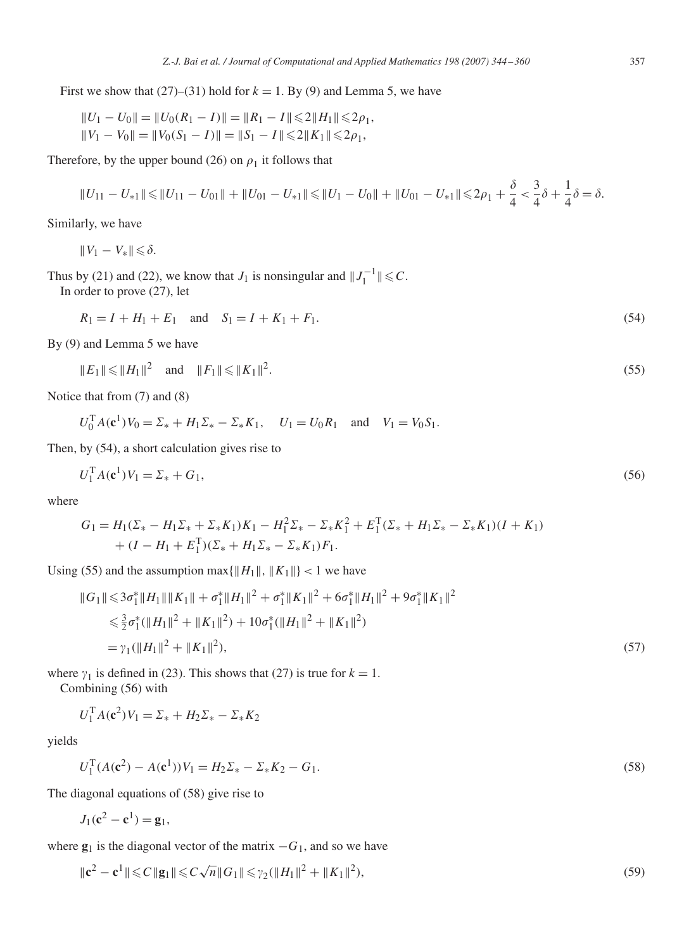First we show that  $(27)$ – $(31)$  hold for  $k = 1$ . By (9) and Lemma 5, we have

$$
||U_1 - U_0|| = ||U_0(R_1 - I)|| = ||R_1 - I|| \le 2||H_1|| \le 2\rho_1,
$$
  

$$
||V_1 - V_0|| = ||V_0(S_1 - I)|| = ||S_1 - I|| \le 2||K_1|| \le 2\rho_1,
$$

Therefore, by the upper bound (26) on  $\rho_1$  it follows that

$$
||U_{11} - U_{*1}|| \le ||U_{11} - U_{01}|| + ||U_{01} - U_{*1}|| \le ||U_1 - U_0|| + ||U_{01} - U_{*1}|| \le 2\rho_1 + \frac{\delta}{4} < \frac{3}{4}\delta + \frac{1}{4}\delta = \delta.
$$

Similarly, we have

 $||V_1 - V_*|| \leq \delta.$ 

Thus by (21) and (22), we know that *J*<sub>1</sub> is nonsingular and  $||J_1^{-1}|| \leq C$ . In order to prove (27), let

$$
R_1 = I + H_1 + E_1 \quad \text{and} \quad S_1 = I + K_1 + F_1. \tag{54}
$$

By (9) and Lemma 5 we have

$$
||E_1|| \le ||H_1||^2 \quad \text{and} \quad ||F_1|| \le ||K_1||^2. \tag{55}
$$

Notice that from (7) and (8)

$$
U_0^{\mathrm{T}} A(\mathbf{c}^1) V_0 = \Sigma_* + H_1 \Sigma_* - \Sigma_* K_1
$$
,  $U_1 = U_0 R_1$  and  $V_1 = V_0 S_1$ .

Then, by (54), a short calculation gives rise to

$$
U_1^{\mathrm{T}} A(\mathbf{c}^1) V_1 = \Sigma_* + G_1,\tag{56}
$$

where

$$
G_1 = H_1(\Sigma_* - H_1\Sigma_* + \Sigma_* K_1)K_1 - H_1^2\Sigma_* - \Sigma_* K_1^2 + E_1^T(\Sigma_* + H_1\Sigma_* - \Sigma_* K_1)(I + K_1) + (I - H_1 + E_1^T)(\Sigma_* + H_1\Sigma_* - \Sigma_* K_1)F_1.
$$

Using (55) and the assumption max $\{\|H_1\|, \|K_1\|\}$  < 1 we have

$$
||G_1|| \leq 3\sigma_1^*||H_1|| ||K_1|| + \sigma_1^*||H_1||^2 + \sigma_1^*||K_1||^2 + 6\sigma_1^*||H_1||^2 + 9\sigma_1^*||K_1||^2
$$
  
\n
$$
\leq \frac{3}{2}\sigma_1^* (||H_1||^2 + ||K_1||^2) + 10\sigma_1^* (||H_1||^2 + ||K_1||^2)
$$
  
\n
$$
= \gamma_1 (||H_1||^2 + ||K_1||^2),
$$
\n(57)

where  $\gamma_1$  is defined in (23). This shows that (27) is true for  $k = 1$ . Combining (56) with

$$
U_1^{\rm T} A(c^2) V_1 = \Sigma_* + H_2 \Sigma_* - \Sigma_* K_2
$$

yields

$$
U_1^{\mathrm{T}}(A(\mathbf{c}^2) - A(\mathbf{c}^1))V_1 = H_2 \Sigma_* - \Sigma_* K_2 - G_1.
$$
\n(58)

The diagonal equations of (58) give rise to

$$
J_1(\mathbf{c}^2 - \mathbf{c}^1) = \mathbf{g}_1,
$$

where  $\mathbf{g}_1$  is the diagonal vector of the matrix  $-G_1$ , and so we have

$$
\|\mathbf{c}^2 - \mathbf{c}^1\| \leq C \|\mathbf{g}_1\| \leq C\sqrt{n} \|G_1\| \leq \gamma_2 (\|H_1\|^2 + \|K_1\|^2),
$$
\n(59)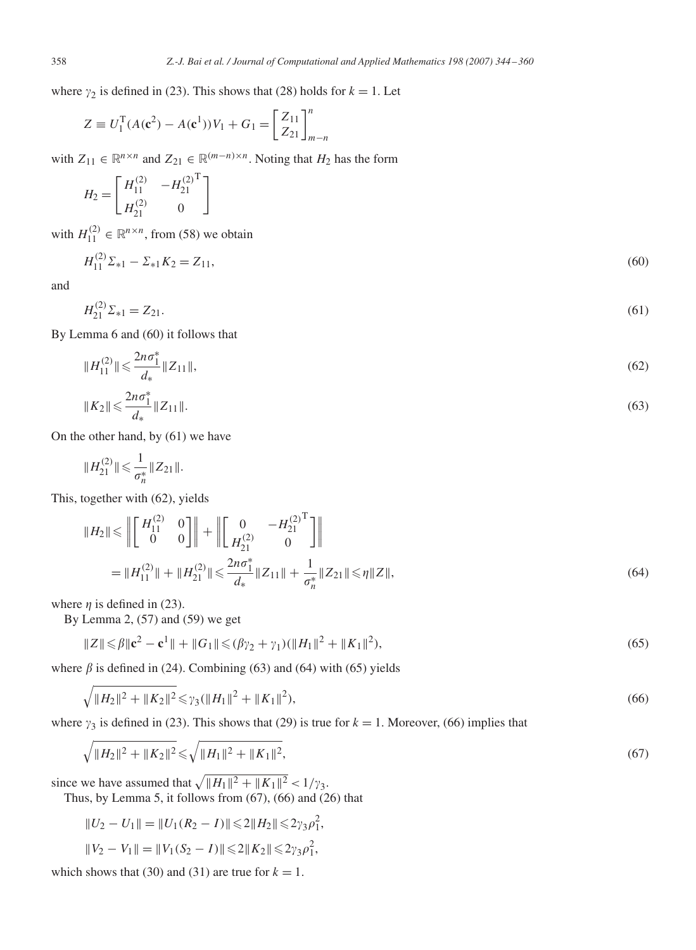where  $\gamma_2$  is defined in (23). This shows that (28) holds for  $k = 1$ . Let

$$
Z \equiv U_1^{\rm T} (A(\mathbf{c}^2) - A(\mathbf{c}^1)) V_1 + G_1 = \begin{bmatrix} Z_{11} \\ Z_{21} \end{bmatrix}_{m-n}^n
$$

with  $Z_{11} \in \mathbb{R}^{n \times n}$  and  $Z_{21} \in \mathbb{R}^{(m-n)\times n}$ . Noting that  $H_2$  has the form

$$
H_2 = \begin{bmatrix} H_{11}^{(2)} & -H_{21}^{(2)} \\ H_{21}^{(2)} & 0 \end{bmatrix}
$$

with  $H_{11}^{(2)} \in \mathbb{R}^{n \times n}$ , from (58) we obtain

$$
H_{11}^{(2)}\Sigma_{*1} - \Sigma_{*1}K_2 = Z_{11},\tag{60}
$$

and

$$
H_{21}^{(2)}\Sigma_{*1} = Z_{21}.\tag{61}
$$

By Lemma 6 and (60) it follows that

$$
||H_{11}^{(2)}|| \leqslant \frac{2n\sigma_1^*}{d_*} ||Z_{11}||,
$$
\n<sup>(62)</sup>

$$
||K_2|| \leqslant \frac{2n\sigma_1^*}{d_*} ||Z_{11}||. \tag{63}
$$

On the other hand, by (61) we have

$$
||H_{21}^{(2)}|| \leqslant \frac{1}{\sigma_n^*} ||Z_{21}||.
$$

This, together with (62), yields

$$
||H_2|| \le ||\left[\begin{bmatrix} H_{11}^{(2)} & 0 \\ 0 & 0 \end{bmatrix}\right]|| + ||\left[\begin{bmatrix} 0 & -H_{21}^{(2)} \\ H_{21}^{(2)} & 0 \end{bmatrix}||\right]
$$
  
= 
$$
||H_{11}^{(2)}|| + ||H_{21}^{(2)}|| \le \frac{2n\sigma_1^*}{d_*} ||Z_{11}|| + \frac{1}{\sigma_n^*} ||Z_{21}|| \le \eta ||Z||,
$$
 (64)

where  $\eta$  is defined in (23).

By Lemma 2, (57) and (59) we get

$$
||Z|| \leq \beta ||\mathbf{c}^2 - \mathbf{c}^1|| + ||G_1|| \leq (\beta \gamma_2 + \gamma_1)(||H_1||^2 + ||K_1||^2),
$$
\n(65)

where  $\beta$  is defined in (24). Combining (63) and (64) with (65) yields

$$
\sqrt{\|H_2\|^2 + \|K_2\|^2} \le \gamma_3 (\|H_1\|^2 + \|K_1\|^2),\tag{66}
$$

where  $\gamma_3$  is defined in (23). This shows that (29) is true for  $k = 1$ . Moreover, (66) implies that

$$
\sqrt{\|H_2\|^2 + \|K_2\|^2} \leqslant \sqrt{\|H_1\|^2 + \|K_1\|^2},\tag{67}
$$

since we have assumed that  $\sqrt{||H_1||^2 + ||K_1||^2} < 1/\gamma_3$ .

Thus, by Lemma 5, it follows from (67), (66) and (26) that

$$
||U_2 - U_1|| = ||U_1(R_2 - I)|| \le 2||H_2|| \le 2\gamma_3 \rho_1^2,
$$
  

$$
||V_2 - V_1|| = ||V_1(S_2 - I)|| \le 2||K_2|| \le 2\gamma_3 \rho_1^2,
$$

which shows that (30) and (31) are true for  $k = 1$ .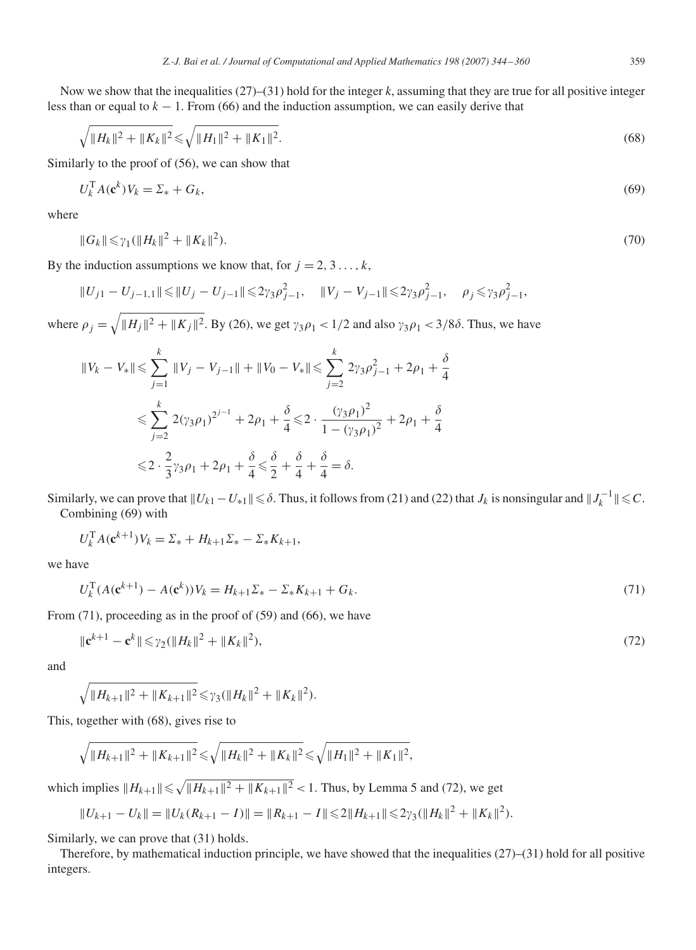$$
\sqrt{\|H_k\|^2 + \|K_k\|^2} \leqslant \sqrt{\|H_1\|^2 + \|K_1\|^2}.
$$
\n(68)

Similarly to the proof of (56), we can show that

$$
U_k^{\mathrm{T}} A(\mathbf{c}^k) V_k = \Sigma_* + G_k,\tag{69}
$$

where

$$
||G_k|| \leq \gamma_1 (||H_k||^2 + ||K_k||^2). \tag{70}
$$

By the induction assumptions we know that, for  $j = 2, 3, \ldots, k$ ,

$$
||U_{j1} - U_{j-1,1}|| \le ||U_j - U_{j-1}|| \le 2\gamma_3 \rho_{j-1}^2, \quad ||V_j - V_{j-1}|| \le 2\gamma_3 \rho_{j-1}^2, \quad \rho_j \le \gamma_3 \rho_{j-1}^2,
$$

where  $\rho_j = \sqrt{||H_j||^2 + ||K_j||^2}$ . By (26), we get  $\gamma_3 \rho_1 < 1/2$  and also  $\gamma_3 \rho_1 < 3/8\delta$ . Thus, we have

$$
||V_k - V_*|| \le \sum_{j=1}^k ||V_j - V_{j-1}|| + ||V_0 - V_*|| \le \sum_{j=2}^k 2\gamma_3 \rho_{j-1}^2 + 2\rho_1 + \frac{\delta}{4}
$$
  

$$
\le \sum_{j=2}^k 2(\gamma_3 \rho_1)^{2^{j-1}} + 2\rho_1 + \frac{\delta}{4} \le 2 \cdot \frac{(\gamma_3 \rho_1)^2}{1 - (\gamma_3 \rho_1)^2} + 2\rho_1 + \frac{\delta}{4}
$$
  

$$
\le 2 \cdot \frac{2}{3}\gamma_3 \rho_1 + 2\rho_1 + \frac{\delta}{4} \le \frac{\delta}{2} + \frac{\delta}{4} + \frac{\delta}{4} = \delta.
$$

Similarly, we can prove that  $||U_{k1} - U_{*1}|| \le \delta$ . Thus, it follows from (21) and (22) that  $J_k$  is nonsingular and  $||J_k^{-1}|| \le C$ . Combining (69) with

$$
U_k^{\rm T} A(\mathbf{c}^{k+1}) V_k = \Sigma_* + H_{k+1} \Sigma_* - \Sigma_* K_{k+1},
$$

we have

$$
U_k^{\mathrm{T}}(A(\mathbf{c}^{k+1}) - A(\mathbf{c}^k))V_k = H_{k+1}\Sigma_* - \Sigma_* K_{k+1} + G_k.
$$
\n(71)

From (71), proceeding as in the proof of (59) and (66), we have

$$
\|\mathbf{c}^{k+1} - \mathbf{c}^k\| \leq \gamma_2 (\|H_k\|^2 + \|K_k\|^2),\tag{72}
$$

and

$$
\sqrt{||H_{k+1}||^2+||K_{k+1}||^2}\leq \gamma_3(||H_k||^2+||K_k||^2).
$$

This, together with (68), gives rise to

$$
\sqrt{||H_{k+1}||^2+||K_{k+1}||^2} \leq \sqrt{||H_k||^2+||K_k||^2} \leq \sqrt{||H_1||^2+||K_1||^2},
$$

which implies  $||H_{k+1}|| \le \sqrt{||H_{k+1}||^2 + ||K_{k+1}||^2} < 1$ . Thus, by Lemma 5 and (72), we get

$$
||U_{k+1}-U_k||=||U_k(R_{k+1}-I)||=||R_{k+1}-I||\leq 2||H_{k+1}||\leq 2\gamma_3(||H_k||^2+||K_k||^2).
$$

Similarly, we can prove that (31) holds.

Therefore, by mathematical induction principle, we have showed that the inequalities (27)–(31) hold for all positive integers.